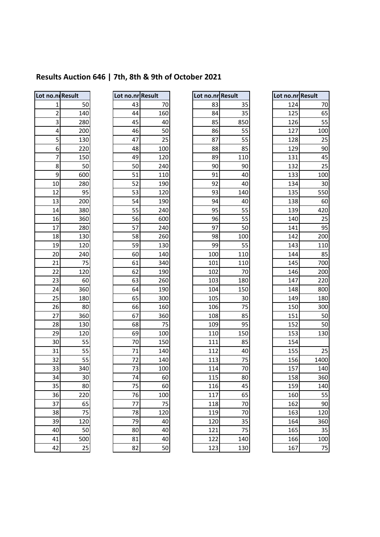# **Results Auction 646 | 7th, 8th & 9th of October 2021**

| Lot no.ni Result |     |
|------------------|-----|
| 1                | 50  |
| $\overline{c}$   | 140 |
| 3                | 280 |
| 4                | 200 |
| 5                | 130 |
| 6                | 220 |
| —<br>7           | 150 |
| 8                | 50  |
| 9                | 600 |
| 10               | 280 |
| 12               | 95  |
| 13               | 200 |
| 14               | 380 |
| 16               | 360 |
| 17               | 280 |
| 18               | 130 |
| 19               | 120 |
| 20               | 240 |
| 21               | 75  |
| 22               | 120 |
| 23               | 60  |
| 24               | 360 |
| 25               | 180 |
| 26               | 80  |
| 27               | 360 |
| 28               | 130 |
| 29               | 120 |
| 30               | 55  |
| 31               | 55  |
| 32               | 55  |
| 33               | 340 |
| 34               | 30  |
| 35               | 80  |
| 36               | 220 |
| 37               | 65  |
| 38               | 75  |
| 39               | 120 |
| 40               | 50  |
| 41               | 00  |
| 42               | ን፡  |

| ot no.nr Result. |     |
|------------------|-----|
| 43               | 70  |
| 44               | 160 |
| 45               | 40  |
| 46               | 50  |
| 47               | 25  |
| 48               | 100 |
| 49               | 120 |
| 50               | 240 |
| 51               | 110 |
| 52               | 190 |
| 53               | 120 |
| 54               | 190 |
| 55               | 240 |
| 56               | 600 |
| 57               | 240 |
| 58               | 260 |
| 59               | 130 |
| 60               | 140 |
| 61               | 340 |
| 62               | 190 |
| 63               | 260 |
| 64               | 190 |
| 65               | 300 |
| 66               | 160 |
| 67               | 360 |
| 68               | 75  |
| 69               | 100 |
| 70               | 150 |
| 71               | 140 |
| $\overline{72}$  | 140 |
| 73               | 100 |
| 74               | -60 |
| Έ                | 60  |
| 76               | 100 |
|                  |     |
| 78               | 120 |
| 79               | 40  |
| 80               | 40  |
| 81               | 40  |
|                  |     |

| Lot no.ni Result        |     | Lot no.nr Result |     | Lot no.nr Result |     | Lot no.nr Result |      |
|-------------------------|-----|------------------|-----|------------------|-----|------------------|------|
| 1                       | 50  | 43               | 70  | 83               | 35  | 124              | 70   |
| $\overline{\mathbf{c}}$ | 140 | 44               | 160 | 84               | 35  | 125              | 65   |
| 3                       | 280 | 45               | 40  | 85               | 850 | 126              | 55   |
| 4                       | 200 | 46               | 50  | 86               | 55  | 127              | 100  |
| 5                       | 130 | 47               | 25  | 87               | 55  | 128              | 25   |
| $\boldsymbol{6}$        | 220 | 48               | 100 | 88               | 85  | 129              | 90   |
| 7                       | 150 | 49               | 120 | 89               | 110 | 131              | 45   |
| 8                       | 50  | 50               | 240 | 90               | 90  | 132              | 25   |
| 9                       | 600 | 51               | 110 | 91               | 40  | 133              | 100  |
| 10                      | 280 | 52               | 190 | 92               | 40  | 134              | 30   |
| 12                      | 95  | 53               | 120 | 93               | 140 | 135              | 550  |
| 13                      | 200 | 54               | 190 | 94               | 40  | 138              | 60   |
| 14                      | 380 | 55               | 240 | 95               | 55  | 139              | 420  |
| 16                      | 360 | 56               | 600 | 96               | 55  | 140              | 25   |
| 17                      | 280 | 57               | 240 | 97               | 50  | 141              | 95   |
| 18                      | 130 | 58               | 260 | 98               | 100 | 142              | 200  |
| 19                      | 120 | 59               | 130 | 99               | 55  | 143              | 110  |
| 20                      | 240 | 60               | 140 | 100              | 110 | 144              | 85   |
| 21                      | 75  | 61               | 340 | 101              | 110 | 145              | 700  |
| 22                      | 120 | 62               | 190 | 102              | 70  | 146              | 200  |
| 23                      | 60  | 63               | 260 | 103              | 180 | 147              | 220  |
| 24                      | 360 | 64               | 190 | 104              | 150 | 148              | 800  |
| 25                      | 180 | 65               | 300 | 105              | 30  | 149              | 180  |
| 26                      | 80  | 66               | 160 | 106              | 75  | 150              | 300  |
| 27                      | 360 | 67               | 360 | 108              | 85  | 151              | 50   |
| 28                      | 130 | 68               | 75  | 109              | 95  | 152              | 50   |
| 29                      | 120 | 69               | 100 | 110              | 150 | 153              | 130  |
| 30                      | 55  | 70               | 150 | 111              | 85  | 154              |      |
| 31                      | 55  | 71               | 140 | 112              | 40  | 155              | 25   |
| 32                      | 55  | 72               | 140 | 113              | 75  | 156              | 1400 |
| 33                      | 340 | 73               | 100 | 114              | 70  | 157              | 140  |
| 34                      | 30  | 74               | 60  | 115              | 80  | 158              | 360  |
| 35                      | 80  | 75               | 60  | 116              | 45  | 159              | 140  |
| 36                      | 220 | 76               | 100 | 117              | 65  | 160              | 55   |
| 37                      | 65  | 77               | 75  | 118              | 70  | 162              | 90   |
| 38                      | 75  | 78               | 120 | 119              | 70  | 163              | 120  |
| 39                      | 120 | 79               | 40  | 120              | 35  | 164              | 360  |
| 40                      | 50  | 80               | 40  | 121              | 75  | 165              | 35   |
| 41                      | 500 | 81               | 40  | 122              | 140 | 166              | 100  |
| 42                      | 25  | 82               | 50  | 123              | 130 | 167              | 75   |

| Lot no.nr | <b>Result</b> |
|-----------|---------------|
| 124       | 70            |
| 125       | 65            |
| 126       | 55            |
| 127       | 100           |
| 128       | 25            |
| 129       | 90            |
| 131       | 45            |
| 132       | 25            |
| 133       | 100           |
| 134       | 30            |
| 135       | 550           |
| 138       | 60            |
| 139       | 420           |
| 140       | 25            |
| 141       | 95            |
| 142       | 200           |
| 143       | 110           |
| 144       | 85            |
| 145       | 700           |
| 146       | 200           |
| 147       | 220           |
| 148       | 800           |
| 149       | 180           |
| _<br>150  | 300           |
| 151       | 50            |
| 152       | 50            |
| 153       | 130           |
| 154       |               |
| 155       | 25            |
| 156       | 1400          |
| 157       | 140           |
| 158       | 360           |
| 159       | 140           |
| 160       | 55            |
| 162       | 90            |
| 163       | 120           |
| 164       | 360           |
| 165       | 35            |
| 166       | 100           |
| 167       | 75            |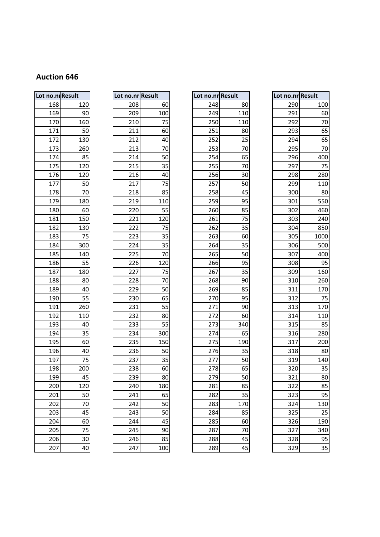| Lot no.nı Result |     |  |  |  |  |
|------------------|-----|--|--|--|--|
| 168              | 120 |  |  |  |  |
| 169              | 90  |  |  |  |  |
| 170              | 160 |  |  |  |  |
| 171              | 50  |  |  |  |  |
| 172              | 130 |  |  |  |  |
| 173              | 260 |  |  |  |  |
| 174              | 85  |  |  |  |  |
| 175              | 120 |  |  |  |  |
| 176              | 120 |  |  |  |  |
| 177              | 50  |  |  |  |  |
| 178              | 70  |  |  |  |  |
| 179              | 180 |  |  |  |  |
| 180              | 60  |  |  |  |  |
| 181              | 150 |  |  |  |  |
| 182              | 130 |  |  |  |  |
| 183              | 75  |  |  |  |  |
| 184              | 300 |  |  |  |  |
| 185              | 140 |  |  |  |  |
| 186              | 55  |  |  |  |  |
| 187              | 180 |  |  |  |  |
| 188              | 80  |  |  |  |  |
| 189              | 40  |  |  |  |  |
| 190              | 55  |  |  |  |  |
| 191              | 260 |  |  |  |  |
| 192              | 110 |  |  |  |  |
| 193              | 40  |  |  |  |  |
| 194              | 35  |  |  |  |  |
| 195              | 60  |  |  |  |  |
| 196              | 40  |  |  |  |  |
| 197              | 75  |  |  |  |  |
| 198              | 200 |  |  |  |  |
| 199              | 45  |  |  |  |  |
| 200              | 120 |  |  |  |  |
| 201              | 50  |  |  |  |  |
| 202              | 70  |  |  |  |  |
| 203              | 45  |  |  |  |  |
| 204              | 60  |  |  |  |  |
| 205              | 75  |  |  |  |  |
| 206              | 30  |  |  |  |  |
| 207              | 40  |  |  |  |  |

| Lot no.nr <mark> Result</mark> |                |
|--------------------------------|----------------|
| 208                            | 60             |
| 209                            | 100            |
| 210                            | $\frac{75}{2}$ |
| 211                            | 60             |
| 212                            | 40             |
| 213                            | 70             |
| 214                            | 50             |
| 215                            | 35             |
| 216                            | 40             |
| 217                            | $\frac{75}{2}$ |
| 218                            | 85             |
| 219                            | 110            |
| 220                            | 55             |
| 221                            | 120            |
| 222                            | 75             |
| 223                            | 35             |
| 224                            | 35             |
| 225                            | 70             |
| 226                            | 120            |
| 227                            | $\frac{75}{2}$ |
| 228                            | 70             |
| 229                            | 50             |
| 230                            | 65             |
| 231                            | 55             |
| 232                            | 80             |
| 233                            | 55             |
| 234                            | 300            |
| 235                            | 150            |
| 236                            | 50             |
| 237                            | 35             |
| 238                            | 60             |
| 239                            | 80             |
| 240                            | 180            |
| 241                            | 65             |
| 242                            | 50             |
| 243                            | 50             |
| 244                            | 45             |
| 245                            | 90             |
| 246                            | 85             |
|                                |                |

| Lot no.n. Result |     | Lot no.nr Result |     | Lot no.nr Result |     | Lot no.nr Result |      |
|------------------|-----|------------------|-----|------------------|-----|------------------|------|
| 168              | 120 | 208              | 60  | 248              | 80  | 290              | 100  |
| 169              | 90  | 209              | 100 | 249              | 110 | 291              | 60   |
| 170              | 160 | 210              | 75  | 250              | 110 | 292              | 70   |
| 171              | 50  | 211              | 60  | 251              | 80  | 293              | 65   |
| 172              | 130 | 212              | 40  | 252              | 25  | 294              | 65   |
| 173              | 260 | 213              | 70  | 253              | 70  | 295              | 70   |
| 174              | 85  | 214              | 50  | 254              | 65  | 296              | 400  |
| 175              | 120 | 215              | 35  | 255              | 70  | 297              | 75   |
| 176              | 120 | 216              | 40  | 256              | 30  | 298              | 280  |
| 177              | 50  | 217              | 75  | 257              | 50  | 299              | 110  |
| 178              | 70  | 218              | 85  | 258              | 45  | 300              | 80   |
| 179              | 180 | 219              | 110 | 259              | 95  | 301              | 550  |
| 180              | 60  | 220              | 55  | 260              | 85  | 302              | 460  |
| 181              | 150 | 221              | 120 | 261              | 75  | 303              | 240  |
| 182              | 130 | 222              | 75  | 262              | 35  | 304              | 850  |
| 183              | 75  | 223              | 35  | 263              | 60  | 305              | 1000 |
| 184              | 300 | 224              | 35  | 264              | 35  | 306              | 500  |
| 185              | 140 | 225              | 70  | 265              | 50  | 307              | 400  |
| 186              | 55  | 226              | 120 | 266              | 95  | 308              | 95   |
| 187              | 180 | 227              | 75  | 267              | 35  | 309              | 160  |
| 188              | 80  | 228              | 70  | 268              | 90  | 310              | 260  |
| 189              | 40  | 229              | 50  | 269              | 85  | 311              | 170  |
| 190              | 55  | 230              | 65  | 270              | 95  | 312              | 75   |
| 191              | 260 | 231              | 55  | 271              | 90  | 313              | 170  |
| 192              | 110 | 232              | 80  | 272              | 60  | 314              | 110  |
| 193              | 40  | 233              | 55  | 273              | 340 | 315              | 85   |
| 194              | 35  | 234              | 300 | 274              | 65  | 316              | 280  |
| 195              | 60  | 235              | 150 | 275              | 190 | 317              | 200  |
| 196              | 40  | 236              | 50  | 276              | 35  | 318              | 80   |
| 197              | 75  | 237              | 35  | 277              | 50  | 319              | 140  |
| 198              | 200 | 238              | 60  | 278              | 65  | 320              | 35   |
| 199              | 45  | 239              | 80  | 279              | 50  | 321              | 80   |
| 200              | 120 | 240              | 180 | 281              | 85  | 322              | 85   |
| 201              | 50  | 241              | 65  | 282              | 35  | 323              | 95   |
| 202              | 70  | 242              | 50  | 283              | 170 | 324              | 130  |
| 203              | 45  | 243              | 50  | 284              | 85  | 325              | 25   |
| 204              | 60  | 244              | 45  | 285              | 60  | 326              | 190  |
| 205              | 75  | 245              | 90  | 287              | 70  | 327              | 340  |
| 206              | 30  | 246              | 85  | 288              | 45  | 328              | 95   |
| 207              | 40  | 247              | 100 | 289              | 45  | 329              | 35   |

|     | o.ni Result |     | Lot no.nr Result | Lot no.nr Result |     | Lot no.nr Result |      |
|-----|-------------|-----|------------------|------------------|-----|------------------|------|
| 168 | 120         | 208 | 60               | 248              | 80  | 290              | 100  |
| 169 | 90          | 209 | 100              | 249              | 110 | 291              | 60   |
| 170 | 160         | 210 | 75               | 250              | 110 | 292              | 70   |
| 171 | 50          | 211 | 60               | 251              | 80  | 293              | 65   |
| 172 | 130         | 212 | 40               | 252              | 25  | 294              | 65   |
| 173 | 260         | 213 | 70               | 253              | 70  | 295              | 70   |
| 174 | 85          | 214 | 50               | 254              | 65  | 296              | 400  |
| 175 | 120         | 215 | 35               | 255              | 70  | 297              | 75   |
| 176 | 120         | 216 | 40               | 256              | 30  | 298              | 280  |
| 177 | 50          | 217 | 75               | 257              | 50  | 299              | 110  |
| 178 | 70          | 218 | 85               | 258              | 45  | 300              | 80   |
| 179 | 180         | 219 | 110              | 259              | 95  | 301              | 550  |
| 180 | 60          | 220 | 55               | 260              | 85  | 302              | 460  |
| 181 | 150         | 221 | 120              | 261              | 75  | 303              | 240  |
| 182 | 130         | 222 | 75               | 262              | 35  | 304              | 850  |
| 183 | 75          | 223 | 35               | 263              | 60  | 305              | 1000 |
| 184 | 300         | 224 | 35               | 264              | 35  | 306              | 500  |
| 185 | 140         | 225 | 70               | 265              | 50  | 307              | 400  |
| 186 | 55          | 226 | 120              | 266              | 95  | 308              | 95   |
| 187 | 180         | 227 | 75               | 267              | 35  | 309              | 160  |
| 188 | 80          | 228 | 70               | 268              | 90  | 310              | 260  |
| 189 | 40          | 229 | 50               | 269              | 85  | 311              | 170  |
| 190 | 55          | 230 | 65               | 270              | 95  | 312              | 75   |
| 191 | 260         | 231 | 55               | 271              | 90  | 313              | 170  |
| 192 | 110         | 232 | 80               | 272              | 60  | 314              | 110  |
| 193 | 40          | 233 | 55               | 273              | 340 | 315              | 85   |
| 194 | 35          | 234 | 300              | 274              | 65  | 316              | 280  |
| 195 | 60          | 235 | 150              | 275              | 190 | 317              | 200  |
| 196 | 40          | 236 | 50               | 276              | 35  | 318              | 80   |
| 197 | 75          | 237 | 35               | 277              | 50  | 319              | 140  |
| 198 | 200         | 238 | 60               | 278              | 65  | 320              | 35   |
| 199 | 45          | 239 | 80               | 279              | 50  | 321              | 80   |
| 200 | 120         | 240 | 180              | 281              | 85  | 322              | 85   |
| 201 | 50          | 241 | 65               | 282              | 35  | 323              | 95   |
| 202 | 70          | 242 | 50               | 283              | 170 | 324              | 130  |
| 203 | 45          | 243 | 50               | 284              | 85  | 325              | 25   |
| 204 | 60          | 244 | 45               | 285              | 60  | 326              | 190  |
| 205 | 75          | 245 | 90               | 287              | 70  | 327              | 340  |
| 206 | 30          | 246 | 85               | 288              | 45  | 328              | 95   |
| 207 | 40          | 247 | 100              | 289              | 45  | 329              | 35   |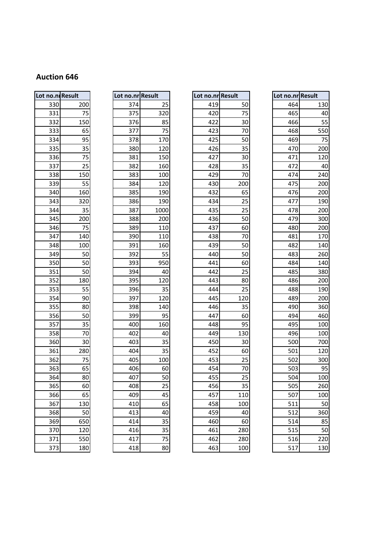| Lot no.ni Result |     |  |  |  |  |  |
|------------------|-----|--|--|--|--|--|
| 330              | 200 |  |  |  |  |  |
| 331              | 75  |  |  |  |  |  |
| 332              | 150 |  |  |  |  |  |
| 333              | 65  |  |  |  |  |  |
| 334              | 95  |  |  |  |  |  |
| 335              | 35  |  |  |  |  |  |
| 336              | 75  |  |  |  |  |  |
| 337              | 25  |  |  |  |  |  |
| 338              | 150 |  |  |  |  |  |
| 339              | 55  |  |  |  |  |  |
| 340              | 160 |  |  |  |  |  |
| 343              | 320 |  |  |  |  |  |
| 344              | 35  |  |  |  |  |  |
| 345              | 200 |  |  |  |  |  |
| 346              | 75  |  |  |  |  |  |
| 347              | 140 |  |  |  |  |  |
| 348              | 100 |  |  |  |  |  |
| 349              | 50  |  |  |  |  |  |
| 350              | 50  |  |  |  |  |  |
| 351              | 50  |  |  |  |  |  |
| 352              | 180 |  |  |  |  |  |
| 353              | 55  |  |  |  |  |  |
| 354              | 90  |  |  |  |  |  |
| 355              | 80  |  |  |  |  |  |
| 356              | 50  |  |  |  |  |  |
| 357              | 35  |  |  |  |  |  |
| 358              | 70  |  |  |  |  |  |
| 360              | 30  |  |  |  |  |  |
| 361              | 280 |  |  |  |  |  |
| 362              | 75  |  |  |  |  |  |
| 363              | 65  |  |  |  |  |  |
| 364              | 80  |  |  |  |  |  |
| 365              | 60  |  |  |  |  |  |
| 366              | 65  |  |  |  |  |  |
| 367              | 130 |  |  |  |  |  |
| 368              | 50  |  |  |  |  |  |
| 369              | 650 |  |  |  |  |  |
| 370              | 120 |  |  |  |  |  |
| 371              | 55C |  |  |  |  |  |
| 373              | 180 |  |  |  |  |  |

| Lot no.nr | <b>Result</b> |
|-----------|---------------|
| 374       | 25            |
| 375       | 320           |
| 376       | 85            |
| 377       | 75            |
| 378       | 170           |
| 380       | 120           |
| 381       | 150           |
| 382       | 160           |
| 383       | 100           |
| 384       | 120           |
| 385       | 190           |
| 386       | 190           |
| 387       | 1000          |
| 388       | 200           |
| 389       | 110           |
| 390       | 110           |
| 391       | 160           |
| 392       | 55            |
| 393       | 950           |
| 394       | 40            |
| 395       | 120           |
| 396       | 35            |
| 397       | 120           |
| 398       | 140           |
| 399       | 95            |
| 400       | 160           |
| 402       | 40            |
| 403       | 35            |
| 404       | 35            |
| 405       | 100           |
| 406       | 60            |
| 407       | 50            |
| 408       | 25            |
| 409       | 45            |
| 410       | 65            |
| 413       | 40            |
| 414       | 35            |
| 416       | 35            |
| 417       | 75            |
|           |               |

| Lot no.ni Result |     | Lot no.nr Result |      | Lot no.nr Result |     | Lot no.nr Result |     |
|------------------|-----|------------------|------|------------------|-----|------------------|-----|
| 330              | 200 | 374              | 25   | 419              | 50  | 464              | 130 |
| 331              | 75  | 375              | 320  | 420              | 75  | 465              | 40  |
| 332              | 150 | 376              | 85   | 422              | 30  | 466              | 55  |
| 333              | 65  | 377              | 75   | 423              | 70  | 468              | 550 |
| 334              | 95  | 378              | 170  | 425              | 50  | 469              | 75  |
| 335              | 35  | 380              | 120  | 426              | 35  | 470              | 200 |
| 336              | 75  | 381              | 150  | 427              | 30  | 471              | 120 |
| 337              | 25  | 382              | 160  | 428              | 35  | 472              | 40  |
| 338              | 150 | 383              | 100  | 429              | 70  | 474              | 240 |
| 339              | 55  | 384              | 120  | 430              | 200 | 475              | 200 |
| 340              | 160 | 385              | 190  | 432              | 65  | 476              | 200 |
| 343              | 320 | 386              | 190  | 434              | 25  | 477              | 190 |
| 344              | 35  | 387              | 1000 | 435              | 25  | 478              | 200 |
| 345              | 200 | 388              | 200  | 436              | 50  | 479              | 300 |
| 346              | 75  | 389              | 110  | 437              | 60  | 480              | 200 |
| 347              | 140 | 390              | 110  | 438              | 70  | 481              | 170 |
| 348              | 100 | 391              | 160  | 439              | 50  | 482              | 140 |
| 349              | 50  | 392              | 55   | 440              | 50  | 483              | 260 |
| 350              | 50  | 393              | 950  | 441              | 60  | 484              | 140 |
| 351              | 50  | 394              | 40   | 442              | 25  | 485              | 380 |
| 352              | 180 | 395              | 120  | 443              | 80  | 486              | 200 |
| 353              | 55  | 396              | 35   | 444              | 25  | 488              | 190 |
| 354              | 90  | 397              | 120  | 445              | 120 | 489              | 200 |
| 355              | 80  | 398              | 140  | 446              | 35  | 490              | 360 |
| 356              | 50  | 399              | 95   | 447              | 60  | 494              | 460 |
| 357              | 35  | 400              | 160  | 448              | 95  | 495              | 100 |
| 358              | 70  | 402              | 40   | 449              | 130 | 496              | 100 |
| 360              | 30  | 403              | 35   | 450              | 30  | 500              | 700 |
| 361              | 280 | 404              | 35   | 452              | 60  | 501              | 120 |
| 362              | 75  | 405              | 100  | 453              | 25  | 502              | 300 |
| 363              | 65  | 406              | 60   | 454              | 70  | 503              | 95  |
| 364              | 80  | 407              | 50   | 455              | 25  | 504              | 100 |
| 365              | 60  | 408              | 25   | 456              | 35  | 505              | 260 |
| 366              | 65  | 409              | 45   | 457              | 110 | 507              | 100 |
| 367              | 130 | 410              | 65   | 458              | 100 | 511              | 50  |
| 368              | 50  | 413              | 40   | 459              | 40  | 512              | 360 |
| 369              | 650 | 414              | 35   | 460              | 60  | 514              | 85  |
| 370              | 120 | 416              | 35   | 461              | 280 | 515              | 50  |
| 371              | 550 | 417              | 75   | 462              | 280 | 516              | 220 |
| 373              | 180 | 418              | 80   | 463              | 100 | 517              | 130 |

|     | o.niResult | Lot no.nr Result |      | Lot no.nr Result |     | Lot no.nr Result |     |
|-----|------------|------------------|------|------------------|-----|------------------|-----|
| 330 | 200        | 374              | 25   | 419              | 50  | 464              | 130 |
| 331 | 75         | 375              | 320  | 420              | 75  | 465              | 40  |
| 332 | 150        | 376              | 85   | 422              | 30  | 466              | 55  |
| 333 | 65         | 377              | 75   | 423              | 70  | 468              | 550 |
| 334 | 95         | 378              | 170  | 425              | 50  | 469              | 75  |
| 335 | 35         | 380              | 120  | 426              | 35  | 470              | 200 |
| 336 | 75         | 381              | 150  | 427              | 30  | 471              | 120 |
| 337 | 25         | 382              | 160  | 428              | 35  | 472              | 40  |
| 338 | 150        | 383              | 100  | 429              | 70  | 474              | 240 |
| 339 | 55         | 384              | 120  | 430              | 200 | 475              | 200 |
| 340 | 160        | 385              | 190  | 432              | 65  | 476              | 200 |
| 343 | 320        | 386              | 190  | 434              | 25  | 477              | 190 |
| 344 | 35         | 387              | 1000 | 435              | 25  | 478              | 200 |
| 345 | 200        | 388              | 200  | 436              | 50  | 479              | 300 |
| 346 | 75         | 389              | 110  | 437              | 60  | 480              | 200 |
| 347 | 140        | 390              | 110  | 438              | 70  | 481              | 170 |
| 348 | 100        | 391              | 160  | 439              | 50  | 482              | 140 |
| 349 | 50         | 392              | 55   | 440              | 50  | 483              | 260 |
| 350 | 50         | 393              | 950  | 441              | 60  | 484              | 140 |
| 351 | 50         | 394              | 40   | 442              | 25  | 485              | 380 |
| 352 | 180        | 395              | 120  | 443              | 80  | 486              | 200 |
| 353 | 55         | 396              | 35   | 444              | 25  | 488              | 190 |
| 354 | 90         | 397              | 120  | 445              | 120 | 489              | 200 |
| 355 | 80         | 398              | 140  | 446              | 35  | 490              | 360 |
| 356 | 50         | 399              | 95   | 447              | 60  | 494              | 460 |
| 357 | 35         | 400              | 160  | 448              | 95  | 495              | 100 |
| 358 | 70         | 402              | 40   | 449              | 130 | 496              | 100 |
| 360 | 30         | 403              | 35   | 450              | 30  | 500              | 700 |
| 361 | 280        | 404              | 35   | 452              | 60  | 501              | 120 |
| 362 | 75         | 405              | 100  | 453              | 25  | 502              | 300 |
| 363 | 65         | 406              | 60   | 454              | 70  | 503              | 95  |
| 364 | 80         | 407              | 50   | 455              | 25  | 504              | 100 |
| 365 | 60         | 408              | 25   | 456              | 35  | 505              | 260 |
| 366 | 65         | 409              | 45   | 457              | 110 | 507              | 100 |
| 367 | 130        | 410              | 65   | 458              | 100 | 511              | 50  |
| 368 | 50         | 413              | 40   | 459              | 40  | 512              | 360 |
| 369 | 650        | 414              | 35   | 460              | 60  | 514              | 85  |
| 370 | 120        | 416              | 35   | 461              | 280 | 515              | 50  |
| 371 | 550        | 417              | 75   | 462              | 280 | 516              | 220 |
| 373 | 180        | 418              | 80   | 463              | 100 | 517              | 130 |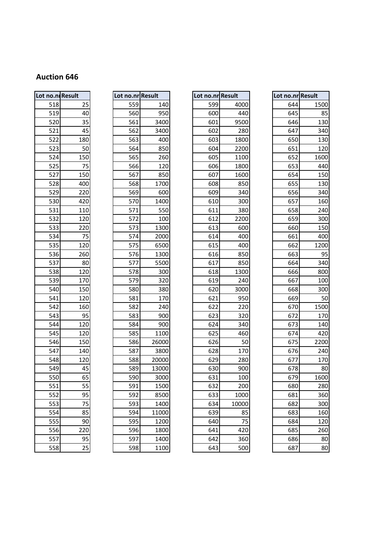| Lot no.ni Result |                |
|------------------|----------------|
| 518              | 25             |
|                  |                |
| 519              | 40             |
| 520              | 35             |
| 521              | 45             |
| 522              | 180            |
| 523              | 50             |
| 524              | 150            |
| 525              | 75             |
| 527              | 150            |
| 528              | 400            |
| 529              | 220            |
| 530              | 420            |
| 531              | 110            |
| 532              | 120            |
| 533              | 220            |
| 534              | $\frac{75}{1}$ |
| 535              | 120            |
| 536              | 260            |
| 537              | 80             |
| 538              | 120            |
| 539              | 170            |
| 540              | 150            |
| 541              | 120            |
| 542              | 160            |
| 543              | 95             |
| 544              | 120            |
| 545              | 120            |
| 546              | 150            |
| 547              | 140            |
| 548              | 120            |
| 549              | 45             |
| 550              | 65             |
| 551              | 55             |
| 552              | 95             |
| 553              | $\frac{75}{1}$ |
| 554              | 85             |
| 555              | 90             |
| $\frac{1}{556}$  | 220            |
| 557              | 95             |
| 558              | 25             |

|     | Lot no.nr <mark> Result</mark> |
|-----|--------------------------------|
| 559 | 140                            |
| 560 | 950                            |
| 561 | 3400                           |
| 562 | 3400                           |
| 563 | 400                            |
| 564 | 850                            |
| 565 | 260                            |
| 566 | 120                            |
| 567 | 850                            |
| 568 | 1700                           |
| 569 | 600                            |
| 570 | 1400                           |
| 571 | 550                            |
| 572 | 100                            |
| 573 | 1300                           |
| 574 | 2000                           |
| 575 | 6500                           |
| 576 | 1300                           |
| 577 | 5500                           |
| 578 | 300                            |
| 579 | 320                            |
| 580 | 380                            |
| 581 | 170                            |
| 582 | 240                            |
| 583 | 900                            |
| 584 | 900                            |
| 585 | 1100                           |
| 586 | 26000                          |
| 587 | 3800                           |
| 588 | 20000                          |
| 589 | 13000                          |
| 590 | 3000                           |
| 591 | 1500                           |
| 592 | 8500                           |
| 593 | 1400                           |
| 594 | 11000                          |
| 595 | 1200                           |
| 596 | 1800                           |
| 597 | 1400                           |
|     |                                |

| Lot no.ni Result |     | Lot no.nr Result |       | Lot no.nr Result |       | Lot no.nr Result |      |
|------------------|-----|------------------|-------|------------------|-------|------------------|------|
| 518              | 25  | 559              | 140   | 599              | 4000  | 644              | 1500 |
| 519              | 40  | 560              | 950   | 600              | 440   | 645              | 85   |
| 520              | 35  | 561              | 3400  | 601              | 9500  | 646              | 130  |
| 521              | 45  | 562              | 3400  | 602              | 280   | 647              | 340  |
| 522              | 180 | 563              | 400   | 603              | 1800  | 650              | 130  |
| 523              | 50  | 564              | 850   | 604              | 2200  | 651              | 120  |
| 524              | 150 | 565              | 260   | 605              | 1100  | 652              | 1600 |
| 525              | 75  | 566              | 120   | 606              | 1800  | 653              | 440  |
| 527              | 150 | 567              | 850   | 607              | 1600  | 654              | 150  |
| 528              | 400 | 568              | 1700  | 608              | 850   | 655              | 130  |
| 529              | 220 | 569              | 600   | 609              | 340   | 656              | 340  |
| 530              | 420 | 570              | 1400  | 610              | 300   | 657              | 160  |
| 531              | 110 | 571              | 550   | 611              | 380   | 658              | 240  |
| 532              | 120 | 572              | 100   | 612              | 2200  | 659              | 300  |
| 533              | 220 | 573              | 1300  | 613              | 600   | 660              | 150  |
| 534              | 75  | 574              | 2000  | 614              | 400   | 661              | 400  |
| 535              | 120 | 575              | 6500  | 615              | 400   | 662              | 1200 |
| 536              | 260 | 576              | 1300  | 616              | 850   | 663              | 95   |
| 537              | 80  | 577              | 5500  | 617              | 850   | 664              | 340  |
| 538              | 120 | 578              | 300   | 618              | 1300  | 666              | 800  |
| 539              | 170 | 579              | 320   | 619              | 240   | 667              | 100  |
| 540              | 150 | 580              | 380   | 620              | 3000  | 668              | 300  |
| 541              | 120 | 581              | 170   | 621              | 950   | 669              | 50   |
| 542              | 160 | 582              | 240   | 622              | 220   | 670              | 1500 |
| 543              | 95  | 583              | 900   | 623              | 320   | 672              | 170  |
| 544              | 120 | 584              | 900   | 624              | 340   | 673              | 140  |
| 545              | 120 | 585              | 1100  | 625              | 460   | 674              | 420  |
| 546              | 150 | 586              | 26000 | 626              | 50    | 675              | 2200 |
| 547              | 140 | 587              | 3800  | 628              | 170   | 676              | 240  |
| 548              | 120 | 588              | 20000 | 629              | 280   | 677              | 170  |
| 549              | 45  | 589              | 13000 | 630              | 900   | 678              | 80   |
| 550              | 65  | 590              | 3000  | 631              | 100   | 679              | 1600 |
| 551              | 55  | 591              | 1500  | 632              | 200   | 680              | 280  |
| 552              | 95  | 592              | 8500  | 633              | 1000  | 681              | 360  |
| 553              | 75  | 593              | 1400  | 634              | 10000 | 682              | 300  |
| 554              | 85  | 594              | 11000 | 639              | 85    | 683              | 160  |
| 555              | 90  | 595              | 1200  | 640              | 75    | 684              | 120  |
| 556              | 220 | 596              | 1800  | 641              | 420   | 685              | 260  |
| 557              | 95  | 597              | 1400  | 642              | 360   | 686              | 80   |
| 558              | 25  | 598              | 1100  | 643              | 500   | 687              | 80   |

|     | <b>10.nl</b> Result |     | Lot no.nr Result | Lot no.nr Result |       | Lot no.nr Result |
|-----|---------------------|-----|------------------|------------------|-------|------------------|
| 518 | 25                  | 559 | 140              | 599              | 4000  | 644              |
| 519 | 40                  | 560 | 950              | 600              | 440   | 645              |
| 520 | 35                  | 561 | 3400             | 601              | 9500  | 646              |
| 521 | 45                  | 562 | 3400             | 602              | 280   | 647              |
| 522 | 180                 | 563 | 400              | 603              | 1800  | 650              |
| 523 | 50                  | 564 | 850              | 604              | 2200  | 651              |
| 524 | 150                 | 565 | 260              | 605              | 1100  | 652              |
| 525 | 75                  | 566 | 120              | 606              | 1800  | 653              |
| 527 | 150                 | 567 | 850              | 607              | 1600  | 654              |
| 528 | 400                 | 568 | 1700             | 608              | 850   | 655              |
| 529 | 220                 | 569 | 600              | 609              | 340   | 656              |
| 530 | 420                 | 570 | 1400             | 610              | 300   | 657              |
| 531 | 110                 | 571 | 550              | 611              | 380   | 658              |
| 532 | 120                 | 572 | 100              | 612              | 2200  | 659              |
| 533 | 220                 | 573 | 1300             | 613              | 600   | 660              |
| 534 | 75                  | 574 | 2000             | 614              | 400   | 661              |
| 535 | 120                 | 575 | 6500             | 615              | 400   | 662              |
| 536 | 260                 | 576 | 1300             | 616              | 850   | 663              |
| 537 | 80                  | 577 | 5500             | 617              | 850   | 664              |
| 538 | 120                 | 578 | 300              | 618              | 1300  | 666              |
| 539 | 170                 | 579 | 320              | 619              | 240   | 667              |
| 540 | 150                 | 580 | 380              | 620              | 3000  | 668              |
| 541 | 120                 | 581 | 170              | 621              | 950   | 669              |
| 542 | 160                 | 582 | 240              | 622              | 220   | 670              |
| 543 | 95                  | 583 | 900              | 623              | 320   | 672              |
| 544 | 120                 | 584 | 900              | 624              | 340   | 673              |
| 545 | 120                 | 585 | 1100             | 625              | 460   | 674              |
| 546 | 150                 | 586 | 26000            | 626              | 50    | 675              |
| 547 | 140                 | 587 | 3800             | 628              | 170   | 676              |
| 548 | 120                 | 588 | 20000            | 629              | 280   | 677              |
| 549 | 45                  | 589 | 13000            | 630              | 900   | 678              |
| 550 | 65                  | 590 | 3000             | 631              | 100   | 679              |
| 551 | 55                  | 591 | 1500             | 632              | 200   | 680              |
| 552 | 95                  | 592 | 8500             | 633              | 1000  | 681              |
| 553 | 75                  | 593 | 1400             | 634              | 10000 | 682              |
| 554 | 85                  | 594 | 11000            | 639              | 85    | 683              |
| 555 | 90                  | 595 | 1200             | 640              | 75    | 684              |
| 556 | 220                 | 596 | 1800             | 641              | 420   | 685              |
| 557 | 95                  | 597 | 1400             | 642              | 360   | 686              |
| 558 | 25                  | 598 | 1100             | 643              | 500   | 687              |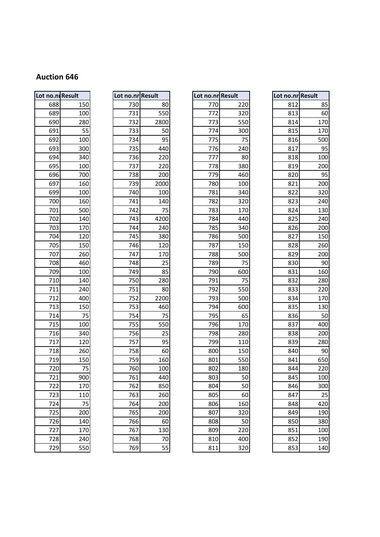| Lot no.nl Result |     |
|------------------|-----|
| 688              | 150 |
| 689              | 100 |
| 690              | 280 |
| 691              | 55  |
| 692              | 100 |
| 693              | 300 |
| 694              | 340 |
| 695              | 100 |
| 696              | 700 |
| 697              | 160 |
| 699              | 100 |
| 700              | 160 |
| 701              | 500 |
| 702              | 140 |
| 703              | 170 |
| 704              | 120 |
| 705              | 150 |
| 707              | 260 |
| 708              | 460 |
| 709              | 100 |
| 710              | 140 |
| 711              | 240 |
| 712              | 400 |
| 713              | 150 |
| 714              | 75  |
| 715              | 100 |
| 716              | 340 |
| 717              | 120 |
| 718              | 260 |
| 719              | 150 |
| 720              | 75  |
| 721              | 900 |
| 722              | 170 |
| 723              | 110 |
| 724              | 75  |
| 725              | 200 |
| 726              | 140 |
| 7                | 170 |
| 728              | 240 |
| 729              | 550 |

| Lot no.nr <mark> Result</mark> |      |
|--------------------------------|------|
| 730                            | 80   |
| 731                            | 550  |
| 732                            | 2800 |
| 733                            | 50   |
| 734                            | 95   |
| 735                            | 440  |
| 736                            | 220  |
| 737                            | 220  |
| 738                            | 200  |
| 739                            | 2000 |
| 740                            | 100  |
| 741                            | 140  |
| 742                            | 75   |
| 743                            | 4200 |
| 744                            | 240  |
| 745                            | 380  |
| 746                            | 120  |
| 747                            | 170  |
| 748                            | 25   |
| 749                            | 85   |
| 750                            | 280  |
| 751                            | 80   |
| 752                            | 2200 |
| 753                            | 460  |
| 754                            | 75   |
| 755                            | 550  |
| 756                            | 25   |
| 757                            | 95   |
| 758                            | 60   |
| 759                            | 160  |
| 760                            | 100  |
| 761                            | 440  |
| 762                            | 850  |
| 763                            | 260  |
| 764                            | 200  |
| 765                            | 200  |
| 766                            | 60   |
| 767                            | 130  |
| 768                            | 70   |
|                                |      |

| Lot no.ni Result |     | Lot no.nr Result |      | Lot no.nr Result |     | Lot no.nr Result |     |
|------------------|-----|------------------|------|------------------|-----|------------------|-----|
| 688              | 150 | 730              | 80   | 770              | 220 | 812              | 85  |
| 689              | 100 | 731              | 550  | 772              | 320 | 813              | 60  |
| 690              | 280 | 732              | 2800 | 773              | 550 | 814              | 170 |
| 691              | 55  | 733              | 50   | 774              | 300 | 815              | 170 |
| 692              | 100 | 734              | 95   | 775              | 75  | 816              | 500 |
| 693              | 300 | 735              | 440  | 776              | 240 | 817              | 95  |
| 694              | 340 | 736              | 220  | 777              | 80  | 818              | 100 |
| 695              | 100 | 737              | 220  | 778              | 380 | 819              | 200 |
| 696              | 700 | 738              | 200  | 779              | 460 | 820              | 95  |
| 697              | 160 | 739              | 2000 | 780              | 100 | 821              | 200 |
| 699              | 100 | 740              | 100  | 781              | 340 | 822              | 320 |
| 700              | 160 | 741              | 140  | 782              | 320 | 823              | 240 |
| 701              | 500 | 742              | 75   | 783              | 170 | 824              | 130 |
| 702              | 140 | 743              | 4200 | 784              | 440 | 825              | 240 |
| 703              | 170 | 744              | 240  | 785              | 340 | 826              | 200 |
| 704              | 120 | 745              | 380  | 786              | 500 | 827              | 150 |
| 705              | 150 | 746              | 120  | 787              | 150 | 828              | 260 |
| 707              | 260 | 747              | 170  | 788              | 500 | 829              | 200 |
| 708              | 460 | 748              | 25   | 789              | 75  | 830              | 90  |
| 709              | 100 | 749              | 85   | 790              | 600 | 831              | 160 |
| 710              | 140 | 750              | 280  | 791              | 75  | 832              | 280 |
| 711              | 240 | 751              | 80   | 792              | 550 | 833              | 220 |
| 712              | 400 | 752              | 2200 | 793              | 500 | 834              | 170 |
| 713              | 150 | 753              | 460  | 794              | 600 | 835              | 130 |
| 714              | 75  | 754              | 75   | 795              | 65  | 836              | 50  |
| 715              | 100 | 755              | 550  | 796              | 170 | 837              | 400 |
| 716              | 340 | 756              | 25   | 798              | 280 | 838              | 200 |
| 717              | 120 | 757              | 95   | 799              | 110 | 839              | 280 |
| 718              | 260 | 758              | 60   | 800              | 150 | 840              | 90  |
| 719              | 150 | 759              | 160  | 801              | 550 | 841              | 650 |
| 720              | 75  | 760              | 100  | 802              | 180 | 844              | 220 |
| 721              | 900 | 761              | 440  | 803              | 50  | 845              | 100 |
| 722              | 170 | 762              | 850  | 804              | 50  | 846              | 300 |
| 723              | 110 | 763              | 260  | 805              | 60  | 847              | 25  |
| 724              | 75  | 764              | 200  | 806              | 160 | 848              | 420 |
| 725              | 200 | 765              | 200  | 807              | 320 | 849              | 190 |
| 726              | 140 | 766              | 60   | 808              | 50  | 850              | 380 |
| 727              | 170 | 767              | 130  | 809              | 220 | 851              | 100 |
| 728              | 240 | 768              | 70   | 810              | 400 | 852              | 190 |
| 729              | 550 | 769              | 55   | 811              | 320 | 853              | 140 |

|     | o.ni Result | Lot no.nr Result |      | Lot no.nr Result |     |     | Lot no.nr Result |
|-----|-------------|------------------|------|------------------|-----|-----|------------------|
| 688 | 150         | 730              | 80   | 770              | 220 | 812 | 85               |
| 689 | 100         | 731              | 550  | 772              | 320 | 813 | 60               |
| 690 | 280         | 732              | 2800 | 773              | 550 | 814 | 170              |
| 691 | 55          | 733              | 50   | 774              | 300 | 815 | 170              |
| 692 | 100         | 734              | 95   | 775              | 75  | 816 | 500              |
| 693 | 300         | 735              | 440  | 776              | 240 | 817 | 95               |
| 694 | 340         | 736              | 220  | 777              | 80  | 818 | 100              |
| 695 | 100         | 737              | 220  | 778              | 380 | 819 | 200              |
| 696 | 700         | 738              | 200  | 779              | 460 | 820 | 95               |
| 697 | 160         | 739              | 2000 | 780              | 100 | 821 | 200              |
| 699 | 100         | 740              | 100  | 781              | 340 | 822 | 320              |
| 700 | 160         | 741              | 140  | 782              | 320 | 823 | 240              |
| 701 | 500         | 742              | 75   | 783              | 170 | 824 | 130              |
| 702 | 140         | 743              | 4200 | 784              | 440 | 825 | 240              |
| 703 | 170         | 744              | 240  | 785              | 340 | 826 | 200              |
| 704 | 120         | 745              | 380  | 786              | 500 | 827 | 150              |
| 705 | 150         | 746              | 120  | 787              | 150 | 828 | 260              |
| 707 | 260         | 747              | 170  | 788              | 500 | 829 | 200              |
| 708 | 460         | 748              | 25   | 789              | 75  | 830 | 90               |
| 709 | 100         | 749              | 85   | 790              | 600 | 831 | 160              |
| 710 | 140         | 750              | 280  | 791              | 75  | 832 | 280              |
| 711 | 240         | 751              | 80   | 792              | 550 | 833 | 220              |
| 712 | 400         | 752              | 2200 | 793              | 500 | 834 | 170              |
| 713 | 150         | 753              | 460  | 794              | 600 | 835 | 130              |
| 714 | 75          | 754              | 75   | 795              | 65  | 836 | 50               |
| 715 | 100         | 755              | 550  | 796              | 170 | 837 | 400              |
| 716 | 340         | 756              | 25   | 798              | 280 | 838 | 200              |
| 717 | 120         | 757              | 95   | 799              | 110 | 839 | 280              |
| 718 | 260         | 758              | 60   | 800              | 150 | 840 | 90               |
| 719 | 150         | 759              | 160  | 801              | 550 | 841 | 650              |
| 720 | 75          | 760              | 100  | 802              | 180 | 844 | 220              |
| 721 | 900         | 761              | 440  | 803              | 50  | 845 | 100              |
| 722 | 170         | 762              | 850  | 804              | 50  | 846 | 300              |
| 723 | 110         | 763              | 260  | 805              | 60  | 847 | 25               |
| 724 | 75          | 764              | 200  | 806              | 160 | 848 | 420              |
| 725 | 200         | 765              | 200  | 807              | 320 | 849 | 190              |
| 726 | 140         | 766              | 60   | 808              | 50  | 850 | 380              |
| 727 | 170         | 767              | 130  | 809              | 220 | 851 | 100              |
| 728 | 240         | 768              | 70   | 810              | 400 | 852 | 190              |
| 729 | 550         | 769              | 55   | 811              | 320 | 853 | 140              |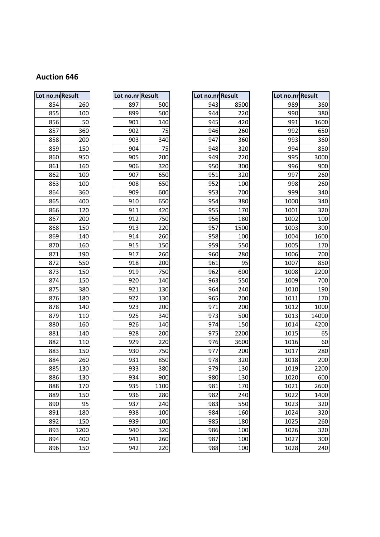| Lot no.ni Result |      | Lot no.nr Result |      | Lot no.nr Result |      | Lot no.nr Result |                |
|------------------|------|------------------|------|------------------|------|------------------|----------------|
| 854              | 260  | 897              | 500  | 943              | 8500 | 989              |                |
| 855              | 100  | 899              | 500  | 944              | 220  | 990              |                |
| 856              | 50   | 901              | 140  | 945              | 420  | 991              | 1              |
| 857              | 360  | 902              | 75   | 946              | 260  | 992              |                |
| 858              | 200  | 903              | 340  | 947              | 360  | 993              |                |
| 859              | 150  | 904              | 75   | 948              | 320  | 994              |                |
| 860              | 950  | 905              | 200  | 949              | 220  | 995              | З              |
| 861              | 160  | 906              | 320  | 950              | 300  | 996              |                |
| 862              | 100  | 907              | 650  | 951              | 320  | 997              |                |
| 863              | 100  | 908              | 650  | 952              | 100  | 998              |                |
| 864              | 360  | 909              | 600  | 953              | 700  | 999              |                |
| 865              | 400  | 910              | 650  | 954              | 380  | 1000             |                |
| 866              | 120  | 911              | 420  | 955              | 170  | 1001             |                |
| 867              | 200  | 912              | 750  | 956              | 180  | 1002             |                |
| 868              | 150  | 913              | 220  | 957              | 1500 | 1003             |                |
| 869              | 140  | 914              | 260  | 958              | 100  | 1004             | 1              |
| 870              | 160  | 915              | 150  | 959              | 550  | 1005             |                |
| 871              | 190  | 917              | 260  | 960              | 280  | 1006             |                |
| 872              | 550  | 918              | 200  | 961              | 95   | 1007             |                |
| 873              | 150  | 919              | 750  | 962              | 600  | 1008             | 2              |
| 874              | 150  | 920              | 140  | 963              | 550  | 1009             |                |
| 875              | 380  | 921              | 130  | 964              | 240  | 1010             |                |
| 876              | 180  | 922              | 130  | 965              | 200  | 1011             |                |
| 878              | 140  | 923              | 200  | 971              | 200  | 1012             | 1              |
| 879              | 110  | 925              | 340  | 973              | 500  | 1013             | 14             |
| 880              | 160  | 926              | 140  | 974              | 150  | 1014             | 4              |
| 881              | 140  | 928              | 200  | 975              | 2200 | 1015             |                |
| 882              | 110  | 929              | 220  | 976              | 3600 | 1016             |                |
| 883              | 150  | 930              | 750  | 977              | 200  | 1017             |                |
| 884              | 260  | 931              | 850  | 978              | 320  | 1018             |                |
| 885              | 130  | 933              | 380  | 979              | 130  | 1019             | 2              |
| 886              | 130  | 934              | 900  | 980              | 130  | 1020             |                |
| 888              | 170  | 935              | 1100 | 981              | 170  | 1021             | $\overline{a}$ |
| 889              | 150  | 936              | 280  | 982              | 240  | 1022             | 1              |
| 890              | 95   | 937              | 240  | 983              | 550  | 1023             |                |
| 891              | 180  | 938              | 100  | 984              | 160  | 1024             |                |
| 892              | 150  | 939              | 100  | 985              | 180  | 1025             |                |
| 893              | 1200 | 940              | 320  | 986              | 100  | 1026             |                |
| 894              | 400  | 941              | 260  | 987              | 100  | 1027             |                |
| 896              | 150  | 942              | 220  | 988              | 100  | 1028             |                |

| Lot no.nr Result |      |
|------------------|------|
| 897              | 500  |
| 899              | 500  |
| 901              | 140  |
| 902              | 75   |
| 903              | 340  |
| 904              | 75   |
| 905              | 200  |
| 906              | 320  |
| 907              | 650  |
| 908              | 650  |
| 909              | 600  |
| 910              | 650  |
| 911              | 420  |
| 912              | 750  |
| 913              | 220  |
| 914              | 260  |
| 915              | 150  |
| 917              | 260  |
| 918              | 200  |
| 919              | 750  |
| 920              | 140  |
| 921              | 130  |
| 922              | 130  |
| 923              | 200  |
| 925              | 340  |
| 926              | 140  |
| 928              | 200  |
| 929              | 220  |
| 930              | 750  |
| 931              | 850  |
| 933              | 380  |
| 934              | 900  |
| 935              | 1100 |
| 936              | 280  |
| 937              | 240  |
| 938              | 100  |
| 939              | 100  |
| 940              | 320  |
| 941              | 260  |
|                  |      |

|     | o.ni Result | Lot no.nr Result |      | Lot no.nr Result |      | Lot no.nr Result |       |
|-----|-------------|------------------|------|------------------|------|------------------|-------|
| 854 | 260         | 897              | 500  | 943              | 8500 | 989              | 360   |
| 855 | 100         | 899              | 500  | 944              | 220  | 990              | 380   |
| 856 | 50          | 901              | 140  | 945              | 420  | 991              | 1600  |
| 857 | 360         | 902              | 75   | 946              | 260  | 992              | 650   |
| 858 | 200         | 903              | 340  | 947              | 360  | 993              | 360   |
| 859 | 150         | 904              | 75   | 948              | 320  | 994              | 850   |
| 860 | 950         | 905              | 200  | 949              | 220  | 995              | 3000  |
| 861 | 160         | 906              | 320  | 950              | 300  | 996              | 900   |
| 862 | 100         | 907              | 650  | 951              | 320  | 997              | 260   |
| 863 | 100         | 908              | 650  | 952              | 100  | 998              | 260   |
| 864 | 360         | 909              | 600  | 953              | 700  | 999              | 340   |
| 865 | 400         | 910              | 650  | 954              | 380  | 1000             | 340   |
| 866 | 120         | 911              | 420  | 955              | 170  | 1001             | 320   |
| 867 | 200         | 912              | 750  | 956              | 180  | 1002             | 100   |
| 868 | 150         | 913              | 220  | 957              | 1500 | 1003             | 300   |
| 869 | 140         | 914              | 260  | 958              | 100  | 1004             | 1600  |
| 870 | 160         | 915              | 150  | 959              | 550  | 1005             | 170   |
| 871 | 190         | 917              | 260  | 960              | 280  | 1006             | 700   |
| 872 | 550         | 918              | 200  | 961              | 95   | 1007             | 850   |
| 873 | 150         | 919              | 750  | 962              | 600  | 1008             | 2200  |
| 874 | 150         | 920              | 140  | 963              | 550  | 1009             | 700   |
| 875 | 380         | 921              | 130  | 964              | 240  | 1010             | 190   |
| 876 | 180         | 922              | 130  | 965              | 200  | 1011             | 170   |
| 878 | 140         | 923              | 200  | 971              | 200  | 1012             | 1000  |
| 879 | 110         | 925              | 340  | 973              | 500  | 1013             | 14000 |
| 880 | 160         | 926              | 140  | 974              | 150  | 1014             | 4200  |
| 881 | 140         | 928              | 200  | 975              | 2200 | 1015             | 65    |
| 882 | 110         | 929              | 220  | 976              | 3600 | 1016             | 60    |
| 883 | 150         | 930              | 750  | 977              | 200  | 1017             | 280   |
| 884 | 260         | 931              | 850  | 978              | 320  | 1018             | 200   |
| 885 | 130         | 933              | 380  | 979              | 130  | 1019             | 2200  |
| 886 | 130         | 934              | 900  | 980              | 130  | 1020             | 600   |
| 888 | 170         | 935              | 1100 | 981              | 170  | 1021             | 2600  |
| 889 | 150         | 936              | 280  | 982              | 240  | 1022             | 1400  |
| 890 | 95          | 937              | 240  | 983              | 550  | 1023             | 320   |
| 891 | 180         | 938              | 100  | 984              | 160  | 1024             | 320   |
| 892 | 150         | 939              | 100  | 985              | 180  | 1025             | 260   |
| 893 | 1200        | 940              | 320  | 986              | 100  | 1026             | 320   |
| 894 | 400         | 941              | 260  | 987              | 100  | 1027             | 300   |
| 896 | 150         | 942              | 220  | 988              | 100  | 1028             | 240   |

|     | o.ni Result | Lot no.nr Result |      | Lot no.nr Result |      | Lot no.nr Result |       |
|-----|-------------|------------------|------|------------------|------|------------------|-------|
| 854 | 260         | 897              | 500  | 943              | 8500 | 989              |       |
| 855 | 100         | 899              | 500  | 944              | 220  | 990              |       |
| 856 | 50          | 901              | 140  | 945              | 420  | 991              | 1600  |
| 857 | 360         | 902              | 75   | 946              | 260  | 992              |       |
| 858 | 200         | 903              | 340  | 947              | 360  | 993              |       |
| 859 | 150         | 904              | 75   | 948              | 320  | 994              |       |
| 860 | 950         | 905              | 200  | 949              | 220  | 995              | 3000  |
| 861 | 160         | 906              | 320  | 950              | 300  | 996              |       |
| 862 | 100         | 907              | 650  | 951              | 320  | 997              |       |
| 863 | 100         | 908              | 650  | 952              | 100  | 998              |       |
| 864 | 360         | 909              | 600  | 953              | 700  | 999              |       |
| 865 | 400         | 910              | 650  | 954              | 380  | 1000             |       |
| 866 | 120         | 911              | 420  | 955              | 170  | 1001             |       |
| 867 | 200         | 912              | 750  | 956              | 180  | 1002             |       |
| 868 | 150         | 913              | 220  | 957              | 1500 | 1003             |       |
| 869 | 140         | 914              | 260  | 958              | 100  | 1004             | 1600  |
| 870 | 160         | 915              | 150  | 959              | 550  | 1005             |       |
| 871 | 190         | 917              | 260  | 960              | 280  | 1006             |       |
| 872 | 550         | 918              | 200  | 961              | 95   | 1007             |       |
| 873 | 150         | 919              | 750  | 962              | 600  | 1008             | 2200  |
| 874 | 150         | 920              | 140  | 963              | 550  | 1009             |       |
| 875 | 380         | 921              | 130  | 964              | 240  | 1010             |       |
| 876 | 180         | 922              | 130  | 965              | 200  | 1011             |       |
| 878 | 140         | 923              | 200  | 971              | 200  | 1012             | 1000  |
| 879 | 110         | 925              | 340  | 973              | 500  | 1013             | 14000 |
| 880 | 160         | 926              | 140  | 974              | 150  | 1014             | 4200  |
| 881 | 140         | 928              | 200  | 975              | 2200 | 1015             |       |
| 882 | 110         | 929              | 220  | 976              | 3600 | 1016             |       |
| 883 | 150         | 930              | 750  | 977              | 200  | 1017             |       |
| 884 | 260         | 931              | 850  | 978              | 320  | 1018             |       |
| 885 | 130         | 933              | 380  | 979              | 130  | 1019             | 2200  |
| 886 | 130         | 934              | 900  | 980              | 130  | 1020             |       |
| 888 | 170         | 935              | 1100 | 981              | 170  | 1021             | 2600  |
| 889 | 150         | 936              | 280  | 982              | 240  | 1022             | 1400  |
| 890 | 95          | 937              | 240  | 983              | 550  | 1023             |       |
| 891 | 180         | 938              | 100  | 984              | 160  | 1024             |       |
| 892 | 150         | 939              | 100  | 985              | 180  | 1025             |       |
| 893 | 1200        | 940              | 320  | 986              | 100  | 1026             |       |
| 894 | 400         | 941              | 260  | 987              | 100  | 1027             |       |
| 896 | 150         | 942              | 220  | 988              | 100  | 1028             |       |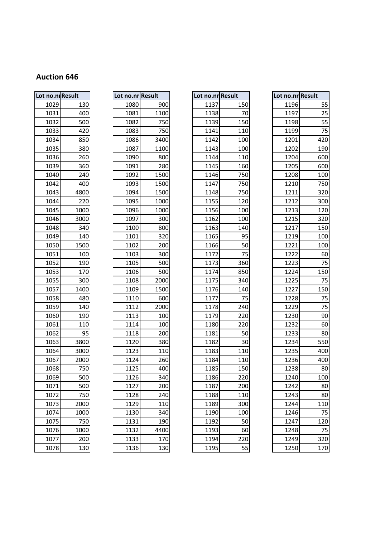| Lot no.n. Result |      |
|------------------|------|
| 1029             | 130  |
| 1031             | 400  |
| 1032             | 500  |
| 1033             | 420  |
| 1034             | 850  |
| 1035             | 380  |
| 1036             | 260  |
| 1039             | 360  |
| 1040             | 240  |
| 1042             | 400  |
| 1043             | 4800 |
| 1044             | 220  |
| 1045             | 1000 |
| 1046             | 3000 |
| 1048             | 340  |
| 1049             | 140  |
| 1050             | 1500 |
| 1051             | 100  |
| 1052             | 190  |
| 1053             | 170  |
| 1055             | 300  |
| 1057             | 1400 |
| 1058             | 480  |
| 1059             | 140  |
| 1060             | 190  |
| 1061             | 110  |
| 1062             | 95   |
| 1063             | 3800 |
| 1064             | 3000 |
| 1067             | 2000 |
| 1068             | 750  |
| 1069             | 500  |
| 1071             | 500  |
| <u> 1072</u>     | 750  |
| 1073             | 2000 |
| 1074             | 1000 |
| 1075             | 750  |
| 1076             | 1000 |
| 1077             | 200  |
| 1078             | 130  |

|      | Lot no.nr Result |
|------|------------------|
| 1080 | 900              |
| 1081 | 1100             |
| 1082 | 750              |
| 1083 | 750              |
| 1086 | 3400             |
| 1087 | 1100             |
| 1090 | 800              |
| 1091 | 280              |
| 1092 | 1500             |
| 1093 | 1500             |
| 1094 | 1500             |
| 1095 | 1000             |
| 1096 | 1000             |
| 1097 | 300              |
| 1100 | 800              |
| 1101 | 320              |
| 1102 | 200              |
| 1103 | 300              |
| 1105 | 500              |
| 1106 | 500              |
| 1108 | 2000             |
| 1109 | 1500             |
| 1110 | 600              |
| 1112 | 2000             |
| 1113 | 100              |
| 1114 | 100              |
| 1118 | 200              |
| 1120 | 380              |
| 1123 | 110              |
| 1124 | 260              |
| 1125 | 400              |
| 1126 | 340              |
| 1127 | 200              |
| 1128 | 240              |
| 1129 | 110              |
| 1130 | 340              |
| 1131 | 190              |
| 1132 | 4400             |
| 113  | 170              |
|      |                  |

| Lot no.ni Result |      | Lot no.nr Result |      | Lot no.nr Result |     | Lot no.nr Result |     |
|------------------|------|------------------|------|------------------|-----|------------------|-----|
| 1029             | 130  | 1080             | 900  | 1137             | 150 | 1196             | 55  |
| 1031             | 400  | 1081             | 1100 | 1138             | 70  | 1197             | 25  |
| 1032             | 500  | 1082             | 750  | 1139             | 150 | 1198             | 55  |
| 1033             | 420  | 1083             | 750  | 1141             | 110 | 1199             | 75  |
| 1034             | 850  | 1086             | 3400 | 1142             | 100 | 1201             | 420 |
| 1035             | 380  | 1087             | 1100 | 1143             | 100 | 1202             | 190 |
| 1036             | 260  | 1090             | 800  | 1144             | 110 | 1204             | 600 |
| 1039             | 360  | 1091             | 280  | 1145             | 160 | 1205             | 600 |
| 1040             | 240  | 1092             | 1500 | 1146             | 750 | 1208             | 100 |
| 1042             | 400  | 1093             | 1500 | 1147             | 750 | 1210             | 750 |
| 1043             | 4800 | 1094             | 1500 | 1148             | 750 | 1211             | 320 |
| 1044             | 220  | 1095             | 1000 | 1155             | 120 | 1212             | 300 |
| 1045             | 1000 | 1096             | 1000 | 1156             | 100 | 1213             | 120 |
| 1046             | 3000 | 1097             | 300  | 1162             | 100 | 1215             | 320 |
| 1048             | 340  | 1100             | 800  | 1163             | 140 | 1217             | 150 |
| 1049             | 140  | 1101             | 320  | 1165             | 95  | 1219             | 100 |
| 1050             | 1500 | 1102             | 200  | 1166             | 50  | 1221             | 100 |
| 1051             | 100  | 1103             | 300  | 1172             | 75  | 1222             | 60  |
| 1052             | 190  | 1105             | 500  | 1173             | 360 | 1223             | 75  |
| 1053             | 170  | 1106             | 500  | 1174             | 850 | 1224             | 150 |
| 1055             | 300  | 1108             | 2000 | 1175             | 340 | 1225             | 75  |
| 1057             | 1400 | 1109             | 1500 | 1176             | 140 | 1227             | 150 |
| 1058             | 480  | 1110             | 600  | 1177             | 75  | 1228             | 75  |
| 1059             | 140  | 1112             | 2000 | 1178             | 240 | 1229             | 75  |
| 1060             | 190  | 1113             | 100  | 1179             | 220 | 1230             | 90  |
| 1061             | 110  | 1114             | 100  | 1180             | 220 | 1232             | 60  |
| 1062             | 95   | 1118             | 200  | 1181             | 50  | 1233             | 80  |
| 1063             | 3800 | 1120             | 380  | 1182             | 30  | 1234             | 550 |
| 1064             | 3000 | 1123             | 110  | 1183             | 110 | 1235             | 400 |
| 1067             | 2000 | 1124             | 260  | 1184             | 110 | 1236             | 400 |
| 1068             | 750  | 1125             | 400  | 1185             | 150 | 1238             | 80  |
| 1069             | 500  | 1126             | 340  | 1186             | 220 | 1240             | 100 |
| 1071             | 500  | 1127             | 200  | 1187             | 200 | 1242             | 80  |
| 1072             | 750  | 1128             | 240  | 1188             | 110 | 1243             | 80  |
| 1073             | 2000 | 1129             | 110  | 1189             | 300 | 1244             | 110 |
| 1074             | 1000 | 1130             | 340  | 1190             | 100 | 1246             | 75  |
| 1075             | 750  | 1131             | 190  | 1192             | 50  | 1247             | 120 |
| 1076             | 1000 | 1132             | 4400 | 1193             | 60  | 1248             | 75  |
| 1077             | 200  | 1133             | 170  | 1194             | 220 | 1249             | 320 |
| 1078             | 130  | 1136             | 130  | 1195             | 55  | 1250             | 170 |

|      | no.ndResult | Lot no.nr Result |      | Lot no.nr Result |     | Lot no.nr Result |     |
|------|-------------|------------------|------|------------------|-----|------------------|-----|
| 1029 | 130         | 1080             | 900  | 1137             | 150 | 1196             | 55  |
| 1031 | 400         | 1081             | 1100 | 1138             | 70  | 1197             | 25  |
| 1032 | 500         | 1082             | 750  | 1139             | 150 | 1198             | 55  |
| 1033 | 420         | 1083             | 750  | 1141             | 110 | 1199             | 75  |
| 1034 | 850         | 1086             | 3400 | 1142             | 100 | 1201             | 420 |
| 1035 | 380         | 1087             | 1100 | 1143             | 100 | 1202             | 190 |
| 1036 | 260         | 1090             | 800  | 1144             | 110 | 1204             | 600 |
| 1039 | 360         | 1091             | 280  | 1145             | 160 | 1205             | 600 |
| 1040 | 240         | 1092             | 1500 | 1146             | 750 | 1208             | 100 |
| 1042 | 400         | 1093             | 1500 | 1147             | 750 | 1210             | 750 |
| 1043 | 4800        | 1094             | 1500 | 1148             | 750 | 1211             | 320 |
| 1044 | 220         | 1095             | 1000 | 1155             | 120 | 1212             | 300 |
| 1045 | 1000        | 1096             | 1000 | 1156             | 100 | 1213             | 120 |
| 1046 | 3000        | 1097             | 300  | 1162             | 100 | 1215             | 320 |
| 1048 | 340         | 1100             | 800  | 1163             | 140 | 1217             | 150 |
| 1049 | 140         | 1101             | 320  | 1165             | 95  | 1219             | 100 |
| 1050 | 1500        | 1102             | 200  | 1166             | 50  | 1221             | 100 |
| 1051 | 100         | 1103             | 300  | 1172             | 75  | 1222             | 60  |
| 1052 | 190         | 1105             | 500  | 1173             | 360 | 1223             | 75  |
| 1053 | 170         | 1106             | 500  | 1174             | 850 | 1224             | 150 |
| 1055 | 300         | 1108             | 2000 | 1175             | 340 | 1225             | 75  |
| 1057 | 1400        | 1109             | 1500 | 1176             | 140 | 1227             | 150 |
| 1058 | 480         | 1110             | 600  | 1177             | 75  | 1228             | 75  |
| 1059 | 140         | 1112             | 2000 | 1178             | 240 | 1229             | 75  |
| 1060 | 190         | 1113             | 100  | 1179             | 220 | 1230             | 90  |
| 1061 | 110         | 1114             | 100  | 1180             | 220 | 1232             | 60  |
| 1062 | 95          | 1118             | 200  | 1181             | 50  | 1233             | 80  |
| 1063 | 3800        | 1120             | 380  | 1182             | 30  | 1234             | 550 |
| 1064 | 3000        | 1123             | 110  | 1183             | 110 | 1235             | 400 |
| 1067 | 2000        | 1124             | 260  | 1184             | 110 | 1236             | 400 |
| 1068 | 750         | 1125             | 400  | 1185             | 150 | 1238             | 80  |
| 1069 | 500         | 1126             | 340  | 1186             | 220 | 1240             | 100 |
| 1071 | 500         | 1127             | 200  | 1187             | 200 | 1242             | 80  |
| 1072 | 750         | 1128             | 240  | 1188             | 110 | 1243             | 80  |
| 1073 | 2000        | 1129             | 110  | 1189             | 300 | 1244             | 110 |
| 1074 | 1000        | 1130             | 340  | 1190             | 100 | 1246             | 75  |
| 1075 | 750         | 1131             | 190  | 1192             | 50  | 1247             | 120 |
| 1076 | 1000        | 1132             | 4400 | 1193             | 60  | 1248             | 75  |
| 1077 | 200         | 1133             | 170  | 1194             | 220 | 1249             | 320 |
| 1078 | 130         | 1136             | 130  | 1195             | 55  | 1250             | 170 |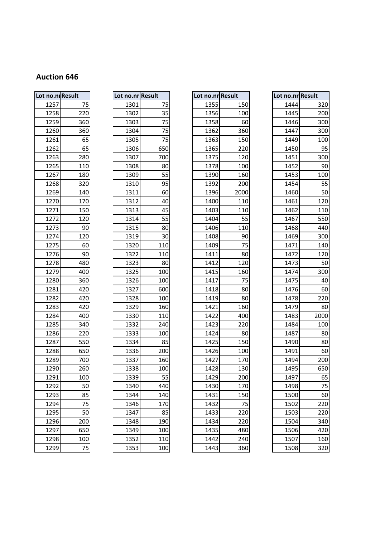| Lot no.ni Result |     |
|------------------|-----|
| 1257             | 75  |
| 1258             | 220 |
| 1259             | 360 |
| 1260             | 360 |
| 1261             | 65  |
| 1262             | 65  |
| 1263             | 280 |
| 1265             | 110 |
| 1267             | 180 |
| 1268             | 320 |
| 1269             | 140 |
| 1270             | 170 |
| 1271             | 150 |
| 1272             | 120 |
| 1273             | 90  |
| 1274             | 120 |
| 1275             | 60  |
| 1276             | 90  |
| 1278             | 480 |
| 1279             | 400 |
| 1280             | 360 |
| 1281             | 420 |
| 1282             | 420 |
| 1283             | 420 |
| 1284             | 400 |
| 1285             | 340 |
| 1286             | 220 |
| 1287             | 550 |
| 1288             | 650 |
| 1289             | 700 |
| 1290             | 260 |
| 1291             | 100 |
| 1292             | 50  |
| 1293             | 85  |
| 1294             | 75  |
| 1295             | 50  |
| 1296             | 200 |
| 1297             | 650 |
| 1298             | 100 |
| 1299             | 75  |

| Lot no.nr Result |                 |
|------------------|-----------------|
| 1301             | 75              |
| 1302             | 35              |
| 1303             | 75              |
| 1304             | 75              |
| 1305             | 75              |
| 1306             | 650             |
| 1307             | 700             |
| 1308             | 80              |
| 1309             | 55              |
| 1310             | 95              |
| 1311             | 60              |
| 1312             | 40              |
| 1313             | 45              |
| 1314             | 55              |
| 1315             | 80              |
| 1319             | 30              |
| 1320             | 110             |
| 1322             | 110             |
| 1323             | 80              |
| 1325             | 100             |
| 1326             | 100             |
| 1327             | 600             |
| 1328             | 100             |
| 1329             | 160             |
| 1330             | 110             |
| 1332             | 240             |
| 1333             | 100             |
| 1334             | 85              |
| 1336             | 200             |
| 1337             | 160             |
| 1338             | 100             |
| 1339             | 55              |
| 1340             | 440             |
| 1344             | 140             |
| 1346             | 170             |
| 1347             | 85              |
| 1348             | 190             |
| 1349             | 100             |
| 1352             | 110             |
| 125              | 10 <sup>1</sup> |

| Lot no.ni Result |                 | Lot no.nr Result |     | Lot no.nr Result |      | Lot no.nr Result |      |
|------------------|-----------------|------------------|-----|------------------|------|------------------|------|
| 1257             | 75              | 1301             | 75  | 1355             | 150  | 1444             | 320  |
| 1258             | 220             | 1302             | 35  | 1356             | 100  | 1445             | 200  |
| 1259             | 360             | 1303             | 75  | 1358             | 60   | 1446             | 300  |
| 1260             | 360             | 1304             | 75  | 1362             | 360  | 1447             | 300  |
| 1261             | 65              | 1305             | 75  | 1363             | 150  | 1449             | 100  |
| 1262             | 65              | 1306             | 650 | 1365             | 220  | 1450             | 95   |
| 1263             | 280             | 1307             | 700 | 1375             | 120  | 1451             | 300  |
| 1265             | 110             | 1308             | 80  | 1378             | 100  | 1452             | 90   |
| 1267             | 180             | 1309             | 55  | 1390             | 160  | 1453             | 100  |
| 1268             | 320             | 1310             | 95  | 1392             | 200  | 1454             | 55   |
| 1269             | 140             | 1311             | 60  | 1396             | 2000 | 1460             | 50   |
| 1270             | 170             | 1312             | 40  | 1400             | 110  | 1461             | 120  |
| 1271             | 150             | 1313             | 45  | 1403             | 110  | 1462             | 110  |
| 1272             | 120             | 1314             | 55  | 1404             | 55   | 1467             | 550  |
| 1273             | 90              | 1315             | 80  | 1406             | 110  | 1468             | 440  |
| 1274             | 120             | 1319             | 30  | 1408             | 90   | 1469             | 300  |
| 1275             | 60              | 1320             | 110 | 1409             | 75   | 1471             | 140  |
| 1276             | 90              | 1322             | 110 | 1411             | 80   | 1472             | 120  |
| 1278             | 480             | 1323             | 80  | 1412             | 120  | 1473             | 50   |
| 1279             | 400             | 1325             | 100 | 1415             | 160  | 1474             | 300  |
| 1280             | 360             | 1326             | 100 | 1417             | 75   | 1475             | 40   |
| 1281             | 420             | 1327             | 600 | 1418             | 80   | 1476             | 60   |
| 1282             | 420             | 1328             | 100 | 1419             | 80   | 1478             | 220  |
| 1283             | 420             | 1329             | 160 | 1421             | 160  | 1479             | 80   |
| 1284             | 400             | 1330             | 110 | 1422             | 400  | 1483             | 2000 |
| 1285             | 340             | 1332             | 240 | 1423             | 220  | 1484             | 100  |
| 1286             | 220             | 1333             | 100 | 1424             | 80   | 1487             | 80   |
| 1287             | 550             | 1334             | 85  | 1425             | 150  | 1490             | 80   |
| 1288             | 650             | 1336             | 200 | 1426             | 100  | 1491             | 60   |
| 1289             | 700             | 1337             | 160 | 1427             | 170  | 1494             | 200  |
| 1290             | 260             | 1338             | 100 | 1428             | 130  | 1495             | 650  |
| 1291             | 100             | 1339             | 55  | 1429             | 200  | 1497             | 65   |
| 1292             | 50              | 1340             | 440 | 1430             | 170  | 1498             | 75   |
| 1293             | 85              | 1344             | 140 | 1431             | 150  | 1500             | 60   |
| 1294             | 75              | 1346             | 170 | 1432             | 75   | 1502             | 220  |
| 1295             | 50              | 1347             | 85  | 1433             | 220  | 1503             | 220  |
| 1296             | 200             | 1348             | 190 | 1434             | 220  | 1504             | 340  |
| 1297             | 650             | 1349             | 100 | 1435             | 480  | 1506             | 420  |
| 1298             | 100             | 1352             | 110 | 1442             | 240  | 1507             | 160  |
| 1299             | $\overline{75}$ | 1353             | 100 | 1443             | 360  | 1508             | 320  |

|      | no.ni Result | Lot no.nr Result |     | Lot no.nr Result |      | Lot no.nr Result |      |
|------|--------------|------------------|-----|------------------|------|------------------|------|
| 1257 | 75           | 1301             | 75  | 1355             | 150  | 1444             |      |
| 1258 | 220          | 1302             | 35  | 1356             | 100  | 1445             |      |
| 1259 | 360          | 1303             | 75  | 1358             | 60   | 1446             |      |
| 1260 | 360          | 1304             | 75  | 1362             | 360  | 1447             |      |
| 1261 | 65           | 1305             | 75  | 1363             | 150  | 1449             |      |
| 1262 | 65           | 1306             | 650 | 1365             | 220  | 1450             |      |
| 1263 | 280          | 1307             | 700 | 1375             | 120  | 1451             |      |
| 1265 | 110          | 1308             | 80  | 1378             | 100  | 1452             |      |
| 1267 | 180          | 1309             | 55  | 1390             | 160  | 1453             |      |
| 1268 | 320          | 1310             | 95  | 1392             | 200  | 1454             |      |
| 1269 | 140          | 1311             | 60  | 1396             | 2000 | 1460             |      |
| 1270 | 170          | 1312             | 40  | 1400             | 110  | 1461             |      |
| 1271 | 150          | 1313             | 45  | 1403             | 110  | 1462             |      |
| 1272 | 120          | 1314             | 55  | 1404             | 55   | 1467             |      |
| 1273 | 90           | 1315             | 80  | 1406             | 110  | 1468             |      |
| 1274 | 120          | 1319             | 30  | 1408             | 90   | 1469             |      |
| 1275 | 60           | 1320             | 110 | 1409             | 75   | 1471             |      |
| 1276 | 90           | 1322             | 110 | 1411             | 80   | 1472             |      |
| 1278 | 480          | 1323             | 80  | 1412             | 120  | 1473             |      |
| 1279 | 400          | 1325             | 100 | 1415             | 160  | 1474             |      |
| 1280 | 360          | 1326             | 100 | 1417             | 75   | 1475             |      |
| 1281 | 420          | 1327             | 600 | 1418             | 80   | 1476             |      |
| 1282 | 420          | 1328             | 100 | 1419             | 80   | 1478             |      |
| 1283 | 420          | 1329             | 160 | 1421             | 160  | 1479             |      |
| 1284 | 400          | 1330             | 110 | 1422             | 400  | 1483             | 2000 |
| 1285 | 340          | 1332             | 240 | 1423             | 220  | 1484             |      |
| 1286 | 220          | 1333             | 100 | 1424             | 80   | 1487             |      |
| 1287 | 550          | 1334             | 85  | 1425             | 150  | 1490             |      |
| 1288 | 650          | 1336             | 200 | 1426             | 100  | 1491             |      |
| 1289 | 700          | 1337             | 160 | 1427             | 170  | 1494             |      |
| 1290 | 260          | 1338             | 100 | 1428             | 130  | 1495             |      |
| 1291 | 100          | 1339             | 55  | 1429             | 200  | 1497             |      |
| 1292 | 50           | 1340             | 440 | 1430             | 170  | 1498             |      |
| 1293 | 85           | 1344             | 140 | 1431             | 150  | 1500             |      |
| 1294 | 75           | 1346             | 170 | 1432             | 75   | 1502             |      |
| 1295 | 50           | 1347             | 85  | 1433             | 220  | 1503             |      |
| 1296 | 200          | 1348             | 190 | 1434             | 220  | 1504             |      |
| 1297 | 650          | 1349             | 100 | 1435             | 480  | 1506             |      |
| 1298 | 100          | 1352             | 110 | 1442             | 240  | 1507             |      |
| 1299 | 75           | 1353             | 100 | 1443             | 360  | 1508             |      |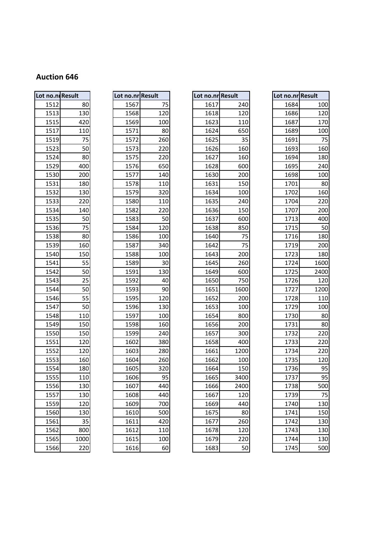| Lot no.ni Result |      |  |  |  |  |
|------------------|------|--|--|--|--|
|                  |      |  |  |  |  |
| 1512             | 80   |  |  |  |  |
| 1513             | 130  |  |  |  |  |
| 1515             | 420  |  |  |  |  |
| 1517             | 110  |  |  |  |  |
| 1519             | 75   |  |  |  |  |
| 1523             | 50   |  |  |  |  |
| 1524             | 80   |  |  |  |  |
| 1529             | 400  |  |  |  |  |
| 1530             | 200  |  |  |  |  |
| 1531             | 180  |  |  |  |  |
| 1532             | 130  |  |  |  |  |
| 1533             | 220  |  |  |  |  |
| 1534             | 140  |  |  |  |  |
| 1535             | 50   |  |  |  |  |
| 1536             | 75   |  |  |  |  |
| 1538             | 80   |  |  |  |  |
| 1539             | 160  |  |  |  |  |
| 1540             | 150  |  |  |  |  |
| 1541             | 55   |  |  |  |  |
| 1542             | 50   |  |  |  |  |
| 1543             | 25   |  |  |  |  |
| 1544             | 50   |  |  |  |  |
| 1546             | 55   |  |  |  |  |
| 1547             | 50   |  |  |  |  |
| 1548             | 110  |  |  |  |  |
| 1549             | 150  |  |  |  |  |
| 1550             | 150  |  |  |  |  |
| 1551             | 120  |  |  |  |  |
| 1552             | 120  |  |  |  |  |
| 1553             | 160  |  |  |  |  |
| 1554             | 180  |  |  |  |  |
| 1555             | 110  |  |  |  |  |
| 1556             | 130  |  |  |  |  |
| 1557             | 130  |  |  |  |  |
| 1559             | 120  |  |  |  |  |
| 1560             | 130  |  |  |  |  |
| 1561             | 35   |  |  |  |  |
| 1562             | 800  |  |  |  |  |
| 1565             | 1000 |  |  |  |  |
| 1566             | 220  |  |  |  |  |

|      | Lot no.nr Result |
|------|------------------|
| 1567 | 75               |
| 1568 | 120              |
| 1569 | 100              |
| 1571 | 80               |
| 1572 | 260              |
| 1573 | 220              |
| 1575 | 220              |
| 1576 | 650              |
| 1577 | 140              |
| 1578 | 110              |
| 1579 | 320              |
| 1580 | 110              |
| 1582 | 220              |
| 1583 | 50               |
| 1584 | 120              |
| 1586 | 100              |
| 1587 | 340              |
| 1588 | 100              |
| 1589 | 30               |
| 1591 | 130              |
| 1592 | 40               |
| 1593 | 90               |
| 1595 | 120              |
| 1596 | 130              |
| 1597 | 100              |
| 1598 | 160              |
| 1599 | 240              |
| 1602 | 380              |
| 1603 | 280              |
| 1604 | 260              |
| 1605 | 320              |
| 1606 | 95               |
| 1607 | 440              |
| 1608 | 440              |
| 1609 | 700              |
| 1610 | 500              |
| 1611 | 420              |
| 1612 | 110              |
| 1615 | 100              |
| 1C1  | $\overline{c}$   |

| Lot no.ni Result |      | Lot no.nr Result |     | Lot no.nr Result |      | Lot no.nr Result |      |
|------------------|------|------------------|-----|------------------|------|------------------|------|
| 1512             | 80   | 1567             | 75  | 1617             | 240  | 1684             | 100  |
| 1513             | 130  | 1568             | 120 | 1618             | 120  | 1686             | 120  |
| 1515             | 420  | 1569             | 100 | 1623             | 110  | 1687             | 170  |
| 1517             | 110  | 1571             | 80  | 1624             | 650  | 1689             | 100  |
| 1519             | 75   | 1572             | 260 | 1625             | 35   | 1691             | 75   |
| 1523             | 50   | 1573             | 220 | 1626             | 160  | 1693             | 160  |
| 1524             | 80   | 1575             | 220 | 1627             | 160  | 1694             | 180  |
| 1529             | 400  | 1576             | 650 | 1628             | 600  | 1695             | 240  |
| 1530             | 200  | 1577             | 140 | 1630             | 200  | 1698             | 100  |
| 1531             | 180  | 1578             | 110 | 1631             | 150  | 1701             | 80   |
| 1532             | 130  | 1579             | 320 | 1634             | 100  | 1702             | 160  |
| 1533             | 220  | 1580             | 110 | 1635             | 240  | 1704             | 220  |
| 1534             | 140  | 1582             | 220 | 1636             | 150  | 1707             | 200  |
| 1535             | 50   | 1583             | 50  | 1637             | 600  | 1713             | 400  |
| 1536             | 75   | 1584             | 120 | 1638             | 850  | 1715             | 50   |
| 1538             | 80   | 1586             | 100 | 1640             | 75   | 1716             | 180  |
| 1539             | 160  | 1587             | 340 | 1642             | 75   | 1719             | 200  |
| 1540             | 150  | 1588             | 100 | 1643             | 200  | 1723             | 180  |
| 1541             | 55   | 1589             | 30  | 1645             | 260  | 1724             | 1600 |
| 1542             | 50   | 1591             | 130 | 1649             | 600  | 1725             | 2400 |
| 1543             | 25   | 1592             | 40  | 1650             | 750  | 1726             | 120  |
| 1544             | 50   | 1593             | 90  | 1651             | 1600 | 1727             | 1200 |
| 1546             | 55   | 1595             | 120 | 1652             | 200  | 1728             | 110  |
| 1547             | 50   | 1596             | 130 | 1653             | 100  | 1729             | 100  |
| 1548             | 110  | 1597             | 100 | 1654             | 800  | 1730             | 80   |
| 1549             | 150  | 1598             | 160 | 1656             | 200  | 1731             | 80   |
| 1550             | 150  | 1599             | 240 | 1657             | 300  | 1732             | 220  |
| 1551             | 120  | 1602             | 380 | 1658             | 400  | 1733             | 220  |
| 1552             | 120  | 1603             | 280 | 1661             | 1200 | 1734             | 220  |
| 1553             | 160  | 1604             | 260 | 1662             | 100  | 1735             | 120  |
| 1554             | 180  | 1605             | 320 | 1664             | 150  | 1736             | 95   |
| 1555             | 110  | 1606             | 95  | 1665             | 3400 | 1737             | 95   |
| 1556             | 130  | 1607             | 440 | 1666             | 2400 | 1738             | 500  |
| 1557             | 130  | 1608             | 440 | 1667             | 120  | 1739             | 75   |
| 1559             | 120  | 1609             | 700 | 1669             | 440  | 1740             | 130  |
| 1560             | 130  | 1610             | 500 | 1675             | 80   | 1741             | 150  |
| 1561             | 35   | 1611             | 420 | 1677             | 260  | 1742             | 130  |
| 1562             | 800  | 1612             | 110 | 1678             | 120  | 1743             | 130  |
| 1565             | 1000 | 1615             | 100 | 1679             | 220  | 1744             | 130  |
| 1566             | 220  | 1616             | 60  | 1683             | 50   | 1745             | 500  |

|      | no.ni Result | Lot no.nr Result |     | Lot no.nr Result |      |      | Lot no.nr Result |
|------|--------------|------------------|-----|------------------|------|------|------------------|
| 1512 | 80           | 1567             | 75  | 1617             | 240  | 1684 | 100              |
| 1513 | 130          | 1568             | 120 | 1618             | 120  | 1686 | 120              |
| 1515 | 420          | 1569             | 100 | 1623             | 110  | 1687 | 170              |
| 1517 | 110          | 1571             | 80  | 1624             | 650  | 1689 | 100              |
| 1519 | 75           | 1572             | 260 | 1625             | 35   | 1691 | 75               |
| 1523 | 50           | 1573             | 220 | 1626             | 160  | 1693 | 160              |
| 1524 | 80           | 1575             | 220 | 1627             | 160  | 1694 | 180              |
| 1529 | 400          | 1576             | 650 | 1628             | 600  | 1695 | 240              |
| 1530 | 200          | 1577             | 140 | 1630             | 200  | 1698 | 100              |
| 1531 | 180          | 1578             | 110 | 1631             | 150  | 1701 | 80               |
| 1532 | 130          | 1579             | 320 | 1634             | 100  | 1702 | 160              |
| 1533 | 220          | 1580             | 110 | 1635             | 240  | 1704 | 220              |
| 1534 | 140          | 1582             | 220 | 1636             | 150  | 1707 | 200              |
| 1535 | 50           | 1583             | 50  | 1637             | 600  | 1713 | 400              |
| 1536 | 75           | 1584             | 120 | 1638             | 850  | 1715 | 50               |
| 1538 | 80           | 1586             | 100 | 1640             | 75   | 1716 | 180              |
| 1539 | 160          | 1587             | 340 | 1642             | 75   | 1719 | 200              |
| 1540 | 150          | 1588             | 100 | 1643             | 200  | 1723 | 180              |
| 1541 | 55           | 1589             | 30  | 1645             | 260  | 1724 | 1600             |
| 1542 | 50           | 1591             | 130 | 1649             | 600  | 1725 | 2400             |
| 1543 | 25           | 1592             | 40  | 1650             | 750  | 1726 | 120              |
| 1544 | 50           | 1593             | 90  | 1651             | 1600 | 1727 | 1200             |
| 1546 | 55           | 1595             | 120 | 1652             | 200  | 1728 | 110              |
| 1547 | 50           | 1596             | 130 | 1653             | 100  | 1729 | 100              |
| 1548 | 110          | 1597             | 100 | 1654             | 800  | 1730 | 80               |
| 1549 | 150          | 1598             | 160 | 1656             | 200  | 1731 | 80               |
| 1550 | 150          | 1599             | 240 | 1657             | 300  | 1732 | 220              |
| 1551 | 120          | 1602             | 380 | 1658             | 400  | 1733 | 220              |
| 1552 | 120          | 1603             | 280 | 1661             | 1200 | 1734 | 220              |
| 1553 | 160          | 1604             | 260 | 1662             | 100  | 1735 | 120              |
| 1554 | 180          | 1605             | 320 | 1664             | 150  | 1736 | 95               |
| 1555 | 110          | 1606             | 95  | 1665             | 3400 | 1737 | 95               |
| 1556 | 130          | 1607             | 440 | 1666             | 2400 | 1738 | 500              |
| 1557 | 130          | 1608             | 440 | 1667             | 120  | 1739 | 75               |
| 1559 | 120          | 1609             | 700 | 1669             | 440  | 1740 | 130              |
| 1560 | 130          | 1610             | 500 | 1675             | 80   | 1741 | 150              |
| 1561 | 35           | 1611             | 420 | 1677             | 260  | 1742 | 130              |
| 1562 | 800          | 1612             | 110 | 1678             | 120  | 1743 | 130              |
| 1565 | 1000         | 1615             | 100 | 1679             | 220  | 1744 | 130              |
| 1566 | 220          | 1616             | 60  | 1683             | 50   | 1745 | 500              |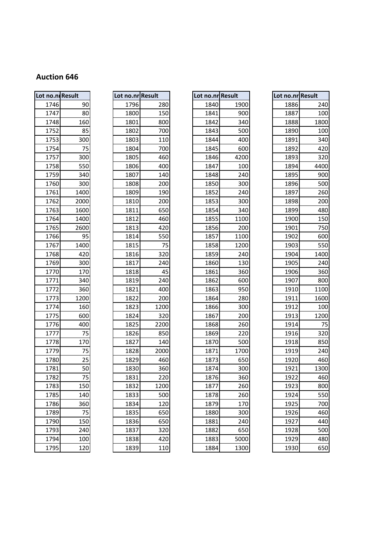| Lot no.nl Result |      |
|------------------|------|
| 1746             | 90   |
| 1747             | 80   |
| 1748             | 160  |
| 1752             | 85   |
| 1753             | 300  |
| 1754             | 75   |
| 1757             | 300  |
| 1758             | 550  |
| 1759             | 340  |
| 1760             | 300  |
| 1761             | 1400 |
| 1762             | 2000 |
| 1763             | 1600 |
| 1764             | 1400 |
| 1765             | 2600 |
| 1766             | 95   |
| 1767             | 1400 |
| 1768             | 420  |
| 1769             | 300  |
| 1770             | 170  |
| 1771             | 340  |
| 1772             | 360  |
| 1773             | 1200 |
| 1774             | 160  |
| 1775             | 600  |
| 1776             | 400  |
| 1777             | 75   |
| 1778             | 170  |
| 1779             | 75   |
| 1780             | 25   |
| 1781             | 50   |
| 1782             | 75   |
| 1783             | 150  |
| 1785             | 140  |
| 1786             | 360  |
| 1789             | 75   |
| 1790             | 150  |
| 1793             | 240  |
| 1794             | 100  |
| 1795             | 120  |

| Lot no.n. Result |      | Lot no.nr Result |      | Lot no.nr Result |      | Lot no.nr Result |      |
|------------------|------|------------------|------|------------------|------|------------------|------|
| 1746             | 90   | 1796             | 280  | 1840             | 1900 | 1886             | 240  |
| 1747             | 80   | 1800             | 150  | 1841             | 900  | 1887             | 100  |
| 1748             | 160  | 1801             | 800  | 1842             | 340  | 1888             | 1800 |
| 1752             | 85   | 1802             | 700  | 1843             | 500  | 1890             | 100  |
| 1753             | 300  | 1803             | 110  | 1844             | 400  | 1891             | 340  |
| 1754             | 75   | 1804             | 700  | 1845             | 600  | 1892             | 420  |
| 1757             | 300  | 1805             | 460  | 1846             | 4200 | 1893             | 320  |
| 1758             | 550  | 1806             | 400  | 1847             | 100  | 1894             | 4400 |
| 1759             | 340  | 1807             | 140  | 1848             | 240  | 1895             | 900  |
| 1760             | 300  | 1808             | 200  | 1850             | 300  | 1896             | 500  |
| 1761             | 1400 | 1809             | 190  | 1852             | 240  | 1897             | 260  |
| 1762             | 2000 | 1810             | 200  | 1853             | 300  | 1898             | 200  |
| 1763             | 1600 | 1811             | 650  | 1854             | 340  | 1899             | 480  |
| 1764             | 1400 | 1812             | 460  | 1855             | 1100 | 1900             | 150  |
| 1765             | 2600 | 1813             | 420  | 1856             | 200  | 1901             | 750  |
| 1766             | 95   | 1814             | 550  | 1857             | 1100 | 1902             | 600  |
| 1767             | 1400 | 1815             | 75   | 1858             | 1200 | 1903             | 550  |
| 1768             | 420  | 1816             | 320  | 1859             | 240  | 1904             | 1400 |
| 1769             | 300  | 1817             | 240  | 1860             | 130  | 1905             | 240  |
| 1770             | 170  | 1818             | 45   | 1861             | 360  | 1906             | 360  |
| 1771             | 340  | 1819             | 240  | 1862             | 600  | 1907             | 800  |
| 1772             | 360  | 1821             | 400  | 1863             | 950  | 1910             | 1100 |
| 1773             | 1200 | 1822             | 200  | 1864             | 280  | 1911             | 1600 |
| 1774             | 160  | 1823             | 1200 | 1866             | 300  | 1912             | 100  |
| 1775             | 600  | 1824             | 320  | 1867             | 200  | 1913             | 1200 |
| 1776             | 400  | 1825             | 2200 | 1868             | 260  | 1914             | 75   |
| 1777             | 75   | 1826             | 850  | 1869             | 220  | 1916             | 320  |
| 1778             | 170  | 1827             | 140  | 1870             | 500  | 1918             | 850  |
| 1779             | 75   | 1828             | 2000 | 1871             | 1700 | 1919             | 240  |
| 1780             | 25   | 1829             | 460  | 1873             | 650  | 1920             | 460  |
| 1781             | 50   | 1830             | 360  | 1874             | 300  | 1921             | 1300 |
| 1782             | 75   | 1831             | 220  | 1876             | 360  | 1922             | 460  |
| 1783             | 150  | 1832             | 1200 | 1877             | 260  | 1923             | 800  |
| 1785             | 140  | 1833             | 500  | 1878             | 260  | 1924             | 550  |
| 1786             | 360  | 1834             | 120  | 1879             | 170  | 1925             | 700  |
| 1789             | 75   | 1835             | 650  | 1880             | 300  | 1926             | 460  |
| 1790             | 150  | 1836             | 650  | 1881             | 240  | 1927             | 440  |
| 1793             | 240  | 1837             | 320  | 1882             | 650  | 1928             | 500  |
| 1794             | 100  | 1838             | 420  | 1883             | 5000 | 1929             | 480  |
| 4705             | 120  | 1020             |      | 1001             | 1200 | 1020             | CD   |

| ot no.nr Result |                 |
|-----------------|-----------------|
| 1840            | 1900            |
| 1841            | 900             |
| 1842            | 340             |
| 1843            | 500             |
| 1844            | 400             |
| 1845            | 600             |
| 1846            | 4200            |
| 1847            | 100             |
| 1848            | 240             |
| 1850            | 300             |
| 1852            | 240             |
| 1853            | 300             |
| 1854            | 340             |
| 1855            | 1100            |
| 1856            | 200             |
| 1857            | 1100            |
| 1858            | 1200            |
| 1859            | 240             |
| 1860            | 130             |
| 1861            | 360             |
| 1862            | 600             |
| 1863            | 950             |
| 1864            | 280             |
| 1866            | 300             |
| 1867            | 200             |
| 1868            | 260             |
| 1869            | 220             |
| 1870            | 500             |
| 1871            | 1700            |
| 1873            | 650             |
| 1874            | 300             |
| 1876            | $\frac{360}{2}$ |
| 1877            | 260             |
| 1878            | 260             |
| 1879            | 170             |
| 1880            | 300             |
| 1881            | 240             |
| 1882            | 650             |
| 1883            | 5000            |
| 1884            | 1300            |

|      | no.ni Result | Lot no.nr Result |      | Lot no.nr Result |      | Lot no.nr Result |      |
|------|--------------|------------------|------|------------------|------|------------------|------|
| 1746 | 90           | 1796             | 280  | 1840             | 1900 | 1886             | 240  |
| 1747 | 80           | 1800             | 150  | 1841             | 900  | 1887             | 100  |
| 1748 | 160          | 1801             | 800  | 1842             | 340  | 1888             | 1800 |
| 1752 | 85           | 1802             | 700  | 1843             | 500  | 1890             | 100  |
| 1753 | 300          | 1803             | 110  | 1844             | 400  | 1891             | 340  |
| 1754 | 75           | 1804             | 700  | 1845             | 600  | 1892             | 420  |
| 1757 | 300          | 1805             | 460  | 1846             | 4200 | 1893             | 320  |
| 1758 | 550          | 1806             | 400  | 1847             | 100  | 1894             | 4400 |
| 1759 | 340          | 1807             | 140  | 1848             | 240  | 1895             | 900  |
| 1760 | 300          | 1808             | 200  | 1850             | 300  | 1896             | 500  |
| 1761 | 1400         | 1809             | 190  | 1852             | 240  | 1897             | 260  |
| 1762 | 2000         | 1810             | 200  | 1853             | 300  | 1898             | 200  |
| 1763 | 1600         | 1811             | 650  | 1854             | 340  | 1899             | 480  |
| 1764 | 1400         | 1812             | 460  | 1855             | 1100 | 1900             | 150  |
| 1765 | 2600         | 1813             | 420  | 1856             | 200  | 1901             | 750  |
| 1766 | 95           | 1814             | 550  | 1857             | 1100 | 1902             | 600  |
| 1767 | 1400         | 1815             | 75   | 1858             | 1200 | 1903             | 550  |
| 1768 | 420          | 1816             | 320  | 1859             | 240  | 1904             | 1400 |
| 1769 | 300          | 1817             | 240  | 1860             | 130  | 1905             | 240  |
| 1770 | 170          | 1818             | 45   | 1861             | 360  | 1906             | 360  |
| 1771 | 340          | 1819             | 240  | 1862             | 600  | 1907             | 800  |
| 1772 | 360          | 1821             | 400  | 1863             | 950  | 1910             | 1100 |
| 1773 | 1200         | 1822             | 200  | 1864             | 280  | 1911             | 1600 |
| 1774 | 160          | 1823             | 1200 | 1866             | 300  | 1912             | 100  |
| 1775 | 600          | 1824             | 320  | 1867             | 200  | 1913             | 1200 |
| 1776 | 400          | 1825             | 2200 | 1868             | 260  | 1914             | 75   |
| 1777 | 75           | 1826             | 850  | 1869             | 220  | 1916             | 320  |
| 1778 | 170          | 1827             | 140  | 1870             | 500  | 1918             | 850  |
| 1779 | 75           | 1828             | 2000 | 1871             | 1700 | 1919             | 240  |
| 1780 | 25           | 1829             | 460  | 1873             | 650  | 1920             | 460  |
| 1781 | 50           | 1830             | 360  | 1874             | 300  | 1921             | 1300 |
| 1782 | 75           | 1831             | 220  | 1876             | 360  | 1922             | 460  |
| 1783 | 150          | 1832             | 1200 | 1877             | 260  | 1923             | 800  |
| 1785 | 140          | 1833             | 500  | 1878             | 260  | 1924             | 550  |
| 1786 | 360          | 1834             | 120  | 1879             | 170  | 1925             | 700  |
| 1789 | 75           | 1835             | 650  | 1880             | 300  | 1926             | 460  |
| 1790 | 150          | 1836             | 650  | 1881             | 240  | 1927             | 440  |
| 1793 | 240          | 1837             | 320  | 1882             | 650  | 1928             | 500  |
| 1794 | 100          | 1838             | 420  | 1883             | 5000 | 1929             | 480  |
| 1795 | 120          | 1839             | 110  | 1884             | 1300 | 1930             | 650  |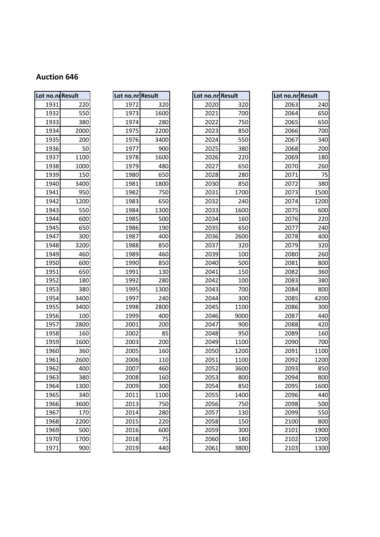| Lot no.ni Result |      |
|------------------|------|
| 1931             | 220  |
| 1932             | 550  |
| 1933             | 380  |
| 1934             | 2000 |
| 1935             | 200  |
| 1936             | 50   |
| 1937             | 1100 |
| 1938             | 1000 |
| 1939             | 150  |
| 1940             | 3400 |
| 1941             | 950  |
| 1942             | 1200 |
| 1943             | 550  |
| 1944             | 600  |
| 1945             | 650  |
| 1947             | 300  |
| 1948             | 3200 |
| 1949             | 460  |
| 1950             | 600  |
| 1951             | 650  |
| 1952             | 180  |
| 1953             | 380  |
| 1954             | 3400 |
| 1955             | 3400 |
| 1956             | 100  |
| 1957             | 2800 |
| 1958             | 160  |
| 1959             | 1600 |
| 1960             | 360  |
| 1961             | 2600 |
| 1962             | 400  |
| 1963             | 380  |
| 1964             | 1300 |
| 1965             | 340  |
| 1966             | 3600 |
| 1967             | 170  |
| 1968             | 2200 |
| 1969             | 500  |
| 1970             | 1700 |
| 1971             | 900  |

| Lot no.n.Result       |                 | Lot no.nr Result                 |                  | Lot no.nr Result |        | Lot no.nr Result |      |
|-----------------------|-----------------|----------------------------------|------------------|------------------|--------|------------------|------|
| 1931                  | 220             | 1972                             | 320              | 2020             | 320    | 2063             | 240  |
| 1932                  | 550             | 1973                             | 1600             | 2021             | 700    | 2064             | 650  |
| 1933                  | 380             | 1974                             | 280              | 2022             | 750    | 2065             | 650  |
| 1934                  | 2000            | 1975                             | 2200             | 2023             | 850    | 2066             | 700  |
| 1935                  | 200             | 1976                             | 3400             | 2024             | 550    | 2067             | 340  |
| 1936                  | 50              | 1977                             | 900              | 2025             | 380    | 2068             | 200  |
| 1937                  | 1100            | 1978                             | 1600             | 2026             | 220    | 2069             | 180  |
| 1938                  | 1000            | 1979                             | 480              | 2027             | 650    | 2070             | 260  |
| 1939                  | 150             | 1980                             | 650              | 2028             | 280    | 2071             | 75   |
| 1940                  | 3400            | 1981                             | 1800             | 2030             | 850    | 2072             | 380  |
| 1941                  | 950             | 1982                             | 750              | 2031             | 1700   | 2073             | 1500 |
| 1942                  | 1200            | 1983                             | 650              | 2032             | 240    | 2074             | 1200 |
| 1943                  | 550             | 1984                             | 1300             | 2033             | 1600   | 2075             | 600  |
| 1944                  | 600             | 1985                             | 500              | 2034             | 160    | 2076             | 220  |
| 1945                  | 650             | 1986                             | 190              | 2035             | 650    | 2077             | 240  |
| 1947                  | 300             | 1987                             | 400              | 2036             | 2600   | 2078             | 400  |
| 1948                  | 3200            | 1988                             | 850              | 2037             | 320    | 2079             | 320  |
| 1949                  | 460             | 1989                             | 460              | 2039             | 100    | 2080             | 260  |
| 1950                  | 600             | 1990                             | 850              | 2040             | 500    | 2081             | 800  |
| 1951                  | 650             | 1991                             | 130              | 2041             | 150    | 2082             | 360  |
| 1952                  | 180             | 1992                             | 280              | 2042             | 100    | 2083             | 380  |
| 1953                  | 380             | 1995                             | 1300             | 2043             | 700    | 2084             | 800  |
| 1954                  | 3400            | 1997                             | 240              | 2044             | 300    | 2085             | 4200 |
| 1955                  | 3400            | 1998                             | 2800             | 2045             | 1100   | 2086             | 300  |
| 1956                  | 100             | 1999                             | 400              | 2046             | 9000   | 2087             | 440  |
| 1957                  | 2800            | 2001                             | 200              | 2047             | 900    | 2088             | 420  |
| 1958                  | 160             | 2002                             | 85               | 2048             | 950    | 2089             | 160  |
| 1959                  | 1600            | 2003                             | 200              | 2049             | 1100   | 2090             | 700  |
| 1960                  | 360             | 2005                             | 160              | 2050             | 1200   | 2091             | 1100 |
| 1961                  | 2600            | 2006                             | 110              | 2051             | 1100   | 2092             | 1200 |
| 1962                  | 400             | 2007                             | 460              | 2052             | 3600   | 2093             | 850  |
| 1963                  | 380             | 2008                             | 160              | 2053             | 800    | 2094             | 800  |
| 1964                  | 1300            | 2009                             | 300              | 2054             | 850    | 2095             | 1600 |
| 1965                  | 340             | 2011                             | 1100             | 2055             | 1400   | 2096             | 440  |
| 1966                  | 3600            | 2013                             | 750              | 2056             | 750    | 2098             | 500  |
| 1967                  | 170             | 2014                             | 280              | 2057             | 130    | 2099             | 550  |
| 1968                  | 2200            | 2015                             | 220              | 2058             | 150    | 2100             | 800  |
| 1969                  | 500             | 2016                             | 600              | 2059             | 300    | 2101             | 1900 |
| 1970<br>$\frac{1}{2}$ | 1700            | 2018<br>$\overline{\phantom{a}}$ | 75               | 2060             | 180    | 2102             | 1200 |
|                       | 00 <sub>0</sub> |                                  | $\overline{110}$ | $2001$           | $2000$ | 2402             | 1200 |

| ot no.nr Result |            |
|-----------------|------------|
| 2020            | 320        |
| 2021            | 700        |
| 2022            | 750        |
|                 | 850        |
| 2023            |            |
| 2024            | 550<br>380 |
| 2025            |            |
| 2026            | 220        |
| 2027            | 650        |
| 2028            | 280        |
| 2030            | 850        |
| 2031            | 1700       |
| 2032            | 240        |
| 2033            | 1600       |
| 2034            | 160        |
| 2035            | 650        |
| 2036            | 2600       |
| 2037            | 320        |
| 2039            | 100        |
| 2040            | 500        |
| 2041            | 150        |
| 2042            | 100        |
| 2043            | 700        |
| 2044            | 300        |
| 2045            | 1100       |
| 2046            | 9000       |
| 2047            | 900        |
| 2048            | 950        |
| 2049            | 1100       |
| 2050            | 1200       |
| 2051            | 1100       |
| 2052            | 3600       |
| 2053            | 800        |
| 2054            | 850        |
| 2055            | 1400       |
| 2056            | 750        |
| 2057            | 130        |
| 2058            | 150        |
| 2059            | 300        |
| 2060            | 180        |
| 2061            | 3800       |

|      | no.ni Result | Lot no.nr Result |      | Lot no.nr Result |      | Lot no.nr Result |      |
|------|--------------|------------------|------|------------------|------|------------------|------|
| 1931 | 220          | 1972             | 320  | 2020             | 320  | 2063             | 240  |
| 1932 | 550          | 1973             | 1600 | 2021             | 700  | 2064             | 650  |
| 1933 | 380          | 1974             | 280  | 2022             | 750  | 2065             | 650  |
| 1934 | 2000         | 1975             | 2200 | 2023             | 850  | 2066             | 700  |
| 1935 | 200          | 1976             | 3400 | 2024             | 550  | 2067             | 340  |
| 1936 | 50           | 1977             | 900  | 2025             | 380  | 2068             | 200  |
| 1937 | 1100         | 1978             | 1600 | 2026             | 220  | 2069             | 180  |
| 1938 | 1000         | 1979             | 480  | 2027             | 650  | 2070             | 260  |
| 1939 | 150          | 1980             | 650  | 2028             | 280  | 2071             | 75   |
| 1940 | 3400         | 1981             | 1800 | 2030             | 850  | 2072             | 380  |
| 1941 | 950          | 1982             | 750  | 2031             | 1700 | 2073             | 1500 |
| 1942 | 1200         | 1983             | 650  | 2032             | 240  | 2074             | 1200 |
| 1943 | 550          | 1984             | 1300 | 2033             | 1600 | 2075             | 600  |
| 1944 | 600          | 1985             | 500  | 2034             | 160  | 2076             | 220  |
| 1945 | 650          | 1986             | 190  | 2035             | 650  | 2077             | 240  |
| 1947 | 300          | 1987             | 400  | 2036             | 2600 | 2078             | 400  |
| 1948 | 3200         | 1988             | 850  | 2037             | 320  | 2079             | 320  |
| 1949 | 460          | 1989             | 460  | 2039             | 100  | 2080             | 260  |
| 1950 | 600          | 1990             | 850  | 2040             | 500  | 2081             | 800  |
| 1951 | 650          | 1991             | 130  | 2041             | 150  | 2082             | 360  |
| 1952 | 180          | 1992             | 280  | 2042             | 100  | 2083             | 380  |
| 1953 | 380          | 1995             | 1300 | 2043             | 700  | 2084             | 800  |
| 1954 | 3400         | 1997             | 240  | 2044             | 300  | 2085             | 4200 |
| 1955 | 3400         | 1998             | 2800 | 2045             | 1100 | 2086             | 300  |
| 1956 | 100          | 1999             | 400  | 2046             | 9000 | 2087             | 440  |
| 1957 | 2800         | 2001             | 200  | 2047             | 900  | 2088             | 420  |
| 1958 | 160          | 2002             | 85   | 2048             | 950  | 2089             | 160  |
| 1959 | 1600         | 2003             | 200  | 2049             | 1100 | 2090             | 700  |
| 1960 | 360          | 2005             | 160  | 2050             | 1200 | 2091             | 1100 |
| 1961 | 2600         | 2006             | 110  | 2051             | 1100 | 2092             | 1200 |
| 1962 | 400          | 2007             | 460  | 2052             | 3600 | 2093             | 850  |
| 1963 | 380          | 2008             | 160  | 2053             | 800  | 2094             | 800  |
| 1964 | 1300         | 2009             | 300  | 2054             | 850  | 2095             | 1600 |
| 1965 | 340          | 2011             | 1100 | 2055             | 1400 | 2096             | 440  |
| 1966 | 3600         | 2013             | 750  | 2056             | 750  | 2098             | 500  |
| 1967 | 170          | 2014             | 280  | 2057             | 130  | 2099             | 550  |
| 1968 | 2200         | 2015             | 220  | 2058             | 150  | 2100             | 800  |
| 1969 | 500          | 2016             | 600  | 2059             | 300  | 2101             | 1900 |
| 1970 | 1700         | 2018             | 75   | 2060             | 180  | 2102             | 1200 |
| 1971 | 900          | 2019             | 440  | 2061             | 3800 | 2103             | 1300 |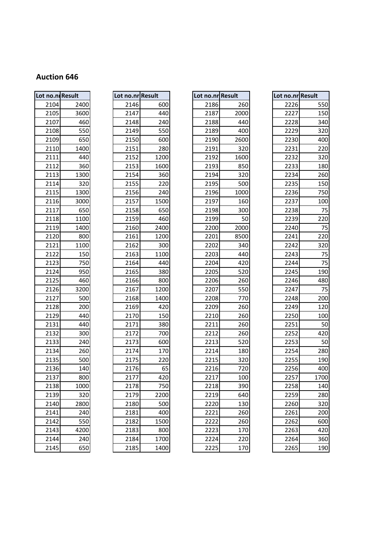| Lot no.ni Result |      |
|------------------|------|
| 2104             | 2400 |
| 2105             | 3600 |
| 2107             | 460  |
| 2108             | 550  |
| 2109             | 650  |
| 2110             | 1400 |
| 2111             | 440  |
| 2112             | 360  |
| 2113             | 1300 |
| 2114             | 320  |
| 2115             | 1300 |
| 2116             | 3000 |
| 2117             | 650  |
| 2118             | 1100 |
| 2119             | 1400 |
| 2120             | 800  |
| 2121             | 1100 |
| 2122             | 150  |
| 2123             | 750  |
| 2124             | 950  |
| 2125             | 460  |
| 2126             | 3200 |
| 2127             | 500  |
| 2128             | 200  |
| 2129             | 440  |
| 2131             | 440  |
| 2132             | 300  |
| 2133             | 240  |
| 2134             | 260  |
| 2135             | 500  |
| 2136             | 140  |
| 2137             | 800  |
| 2138             | 1000 |
| 2139             | 320  |
| 2140             | 2800 |
| 2141             | 240  |
| 2142             | 550  |
| 2143             | 4200 |
| 2144             | 240  |
| 2145             | 650  |

| Lot no.ni Result |          | Lot no.nr Result |       | Lot no.nr Result         |      | Lot no.nr Result |      |
|------------------|----------|------------------|-------|--------------------------|------|------------------|------|
| 2104             | 2400     | 2146             | 600   | 2186                     | 260  | 2226             | 550  |
| 2105             | 3600     | 2147             | 440   | 2187                     | 2000 | 2227             | 150  |
| 2107             | 460      | 2148             | 240   | 2188                     | 440  | 2228             | 340  |
| 2108             | 550      | 2149             | 550   | 2189                     | 400  | 2229             | 320  |
| 2109             | 650      | 2150             | 600   | 2190                     | 2600 | 2230             | 400  |
| 2110             | 1400     | 2151             | 280   | 2191                     | 320  | 2231             | 220  |
| 2111             | 440      | 2152             | 1200  | 2192                     | 1600 | 2232             | 320  |
| 2112             | 360      | 2153             | 1600  | 2193                     | 850  | 2233             | 180  |
| 2113             | 1300     | 2154             | 360   | 2194                     | 320  | 2234             | 260  |
| 2114             | 320      | 2155             | 220   | 2195                     | 500  | 2235             | 150  |
| 2115             | 1300     | 2156             | 240   | 2196                     | 1000 | 2236             | 750  |
| 2116             | 3000     | 2157             | 1500  | 2197                     | 160  | 2237             | 100  |
| 2117             | 650      | 2158             | 650   | 2198                     | 300  | 2238             | 75   |
| 2118             | 1100     | 2159             | 460   | 2199                     | 50   | 2239             | 220  |
| 2119             | 1400     | 2160             | 2400  | 2200                     | 2000 | 2240             | 75   |
| 2120             | 800      | 2161             | 1200  | 2201                     | 8500 | 2241             | 220  |
| 2121             | 1100     | 2162             | 300   | 2202                     | 340  | 2242             | 320  |
| 2122             | 150      | 2163             | 1100  | 2203                     | 440  | 2243             | 75   |
| 2123             | 750      | 2164             | 440   | 2204                     | 420  | 2244             | 75   |
| 2124             | 950      | 2165             | 380   | 2205                     | 520  | 2245             | 190  |
| 2125             | 460      | 2166             | 800   | 2206                     | 260  | 2246             | 480  |
| 2126             | 3200     | 2167             | 1200  | 2207                     | 550  | 2247             | 75   |
| 2127             | 500      | 2168             | 1400  | 2208                     | 770  | 2248             | 200  |
| 2128             | 200      | 2169             | 420   | 2209                     | 260  | 2249             | 120  |
| 2129             | 440      | 2170             | 150   | 2210                     | 260  | 2250             | 100  |
| 2131             | 440      | 2171             | 380   | 2211                     | 260  | 2251             | 50   |
| 2132             | 300      | 2172             | 700   | 2212                     | 260  | 2252             | 420  |
| 2133             | 240      | 2173             | 600   | 2213                     | 520  | 2253             | 50   |
| 2134             | 260      | 2174             | 170   | 2214                     | 180  | 2254             | 280  |
| 2135             | 500      | 2175             | 220   | 2215                     | 320  | 2255             | 190  |
| 2136             | 140      | 2176             | 65    | 2216                     | 720  | 2256             | 400  |
| 2137             | 800      | 2177             | 420   | 2217                     | 100  | 2257             | 1700 |
| 2138             | 1000     | 2178             | 750   | 2218                     | 390  | 2258             | 140  |
| 2139             | 320      | 2179             | 2200  | 2219                     | 640  | 2259             | 280  |
| 2140             | 2800     | 2180             | 500   | 2220                     | 130  | 2260             | 320  |
| 2141             | 240      | 2181             | 400   | 2221                     | 260  | 2261             | 200  |
| 2142             | 550      | 2182             | 1500  | 2222                     | 260  | 2262             | 600  |
| 2143             | 4200     | 2183             | 800   | 2223                     | 170  | 2263             | 420  |
| 2144             | 240      | 2184             | 1700  | 2224                     | 220  | 2264             | 360  |
| $\frac{1}{24}$   | $CD = 0$ | $2405$           | 1.000 | $\overline{\phantom{a}}$ | 170  | 220              | 100  |

| ot<br>no.nr | <b>Result</b> |
|-------------|---------------|
| 2186        | 260           |
| 2187        | 2000          |
| 2188        | 440           |
| 2189        | 400           |
| 2190        | 2600          |
| 2191        | 320           |
| 2192        | 1600          |
| 2193        | 850           |
| 2194        | 320           |
| 2195        | 500           |
| 2196        | 1000          |
| 2197        | 160           |
| 2198        | 300           |
| 2199        | 50            |
| 2200        | 2000          |
| 2201        | 8500          |
| 2202        | 340           |
| 2203        | 440           |
| 2204        | 420           |
| 2205        | 520           |
| 2206        | 260           |
| 2207        | 550           |
| 2208        | 770           |
| 2209        | 260           |
| 2210        | 260           |
| 2211        | 260           |
| 2212        | 260           |
| 2213        | 520           |
| 2214        | 180           |
| 2215        | 320           |
| 2216        | 720           |
| 2217        | 100           |
| 2218        | 390           |
| 2219        | 640           |
| 2220        | 130           |
| 221         | 260           |
| 2222        | 260           |
| 2223        | 170           |
| 2224        | 220           |
| 2225        | 170           |

|      | no.ni Result | Lot no.nr Result |      | Lot no.nr Result |      | Lot no.nr Result |      |
|------|--------------|------------------|------|------------------|------|------------------|------|
| 2104 | 2400         | 2146             | 600  | 2186             | 260  | 2226             | 550  |
| 2105 | 3600         | 2147             | 440  | 2187             | 2000 | 2227             | 150  |
| 2107 | 460          | 2148             | 240  | 2188             | 440  | 2228             | 340  |
| 2108 | 550          | 2149             | 550  | 2189             | 400  | 2229             | 320  |
| 2109 | 650          | 2150             | 600  | 2190             | 2600 | 2230             | 400  |
| 2110 | 1400         | 2151             | 280  | 2191             | 320  | 2231             | 220  |
| 2111 | 440          | 2152             | 1200 | 2192             | 1600 | 2232             | 320  |
| 2112 | 360          | 2153             | 1600 | 2193             | 850  | 2233             | 180  |
| 2113 | 1300         | 2154             | 360  | 2194             | 320  | 2234             | 260  |
| 2114 | 320          | 2155             | 220  | 2195             | 500  | 2235             | 150  |
| 2115 | 1300         | 2156             | 240  | 2196             | 1000 | 2236             | 750  |
| 2116 | 3000         | 2157             | 1500 | 2197             | 160  | 2237             | 100  |
| 2117 | 650          | 2158             | 650  | 2198             | 300  | 2238             | 75   |
| 2118 | 1100         | 2159             | 460  | 2199             | 50   | 2239             | 220  |
| 2119 | 1400         | 2160             | 2400 | 2200             | 2000 | 2240             | 75   |
| 2120 | 800          | 2161             | 1200 | 2201             | 8500 | 2241             | 220  |
| 2121 | 1100         | 2162             | 300  | 2202             | 340  | 2242             | 320  |
| 2122 | 150          | 2163             | 1100 | 2203             | 440  | 2243             | 75   |
| 2123 | 750          | 2164             | 440  | 2204             | 420  | 2244             | 75   |
| 2124 | 950          | 2165             | 380  | 2205             | 520  | 2245             | 190  |
| 2125 | 460          | 2166             | 800  | 2206             | 260  | 2246             | 480  |
| 2126 | 3200         | 2167             | 1200 | 2207             | 550  | 2247             | 75   |
| 2127 | 500          | 2168             | 1400 | 2208             | 770  | 2248             | 200  |
| 2128 | 200          | 2169             | 420  | 2209             | 260  | 2249             | 120  |
| 2129 | 440          | 2170             | 150  | 2210             | 260  | 2250             | 100  |
| 2131 | 440          | 2171             | 380  | 2211             | 260  | 2251             | 50   |
| 2132 | 300          | 2172             | 700  | 2212             | 260  | 2252             | 420  |
| 2133 | 240          | 2173             | 600  | 2213             | 520  | 2253             | 50   |
| 2134 | 260          | 2174             | 170  | 2214             | 180  | 2254             | 280  |
| 2135 | 500          | 2175             | 220  | 2215             | 320  | 2255             | 190  |
| 2136 | 140          | 2176             | 65   | 2216             | 720  | 2256             | 400  |
| 2137 | 800          | 2177             | 420  | 2217             | 100  | 2257             | 1700 |
| 2138 | 1000         | 2178             | 750  | 2218             | 390  | 2258             | 140  |
| 2139 | 320          | 2179             | 2200 | 2219             | 640  | 2259             | 280  |
| 2140 | 2800         | 2180             | 500  | 2220             | 130  | 2260             | 320  |
| 2141 | 240          | 2181             | 400  | 2221             | 260  | 2261             | 200  |
| 2142 | 550          | 2182             | 1500 | 2222             | 260  | 2262             | 600  |
| 2143 | 4200         | 2183             | 800  | 2223             | 170  | 2263             | 420  |
| 2144 | 240          | 2184             | 1700 | 2224             | 220  | 2264             | 360  |
| 2145 | 650          | 2185             | 1400 | 2225             | 170  | 2265             | 190  |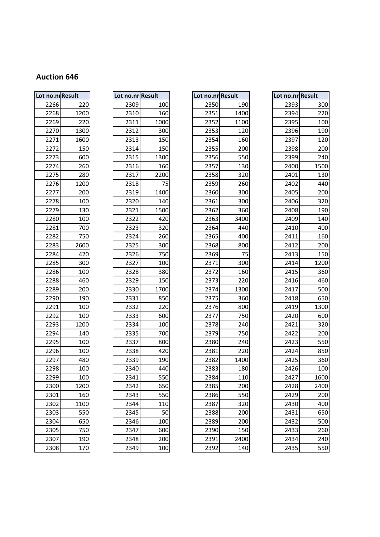| Lot no.n. Result |      | Lot no.nr Result |      | Lot no.nr Result |      | Lot no.nr Result |                |
|------------------|------|------------------|------|------------------|------|------------------|----------------|
| 2266             | 220  | 2309             | 100  | 2350             | 190  | 2393             |                |
| 2268             | 1200 | 2310             | 160  | 2351             | 1400 | 2394             |                |
| 2269             | 220  | 2311             | 1000 | 2352             | 1100 | 2395             |                |
| 2270             | 1300 | 2312             | 300  | 2353             | 120  | 2396             |                |
| 2271             | 1600 | 2313             | 150  | 2354             | 160  | 2397             |                |
| 2272             | 150  | 2314             | 150  | 2355             | 200  | 2398             |                |
| 2273             | 600  | 2315             | 1300 | 2356             | 550  | 2399             |                |
| 2274             | 260  | 2316             | 160  | 2357             | 130  | 2400             | 1              |
| 2275             | 280  | 2317             | 2200 | 2358             | 320  | 2401             |                |
| 2276             | 1200 | 2318             | 75   | 2359             | 260  | 2402             |                |
| 2277             | 200  | 2319             | 1400 | 2360             | 300  | 2405             |                |
| 2278             | 100  | 2320             | 140  | 2361             | 300  | 2406             |                |
| 2279             | 130  | 2321             | 1500 | 2362             | 360  | 2408             |                |
| 2280             | 100  | 2322             | 420  | 2363             | 3400 | 2409             |                |
| 2281             | 700  | 2323             | 320  | 2364             | 440  | 2410             |                |
| 2282             | 750  | 2324             | 260  | 2365             | 400  | 2411             |                |
| 2283             | 2600 | 2325             | 300  | 2368             | 800  | 2412             |                |
| 2284             | 420  | 2326             | 750  | 2369             | 75   | 2413             |                |
| 2285             | 300  | 2327             | 100  | 2371             | 300  | 2414             | 1              |
| 2286             | 100  | 2328             | 380  | 2372             | 160  | 2415             |                |
| 2288             | 460  | 2329             | 150  | 2373             | 220  | 2416             |                |
| 2289             | 200  | 2330             | 1700 | 2374             | 1300 | 2417             |                |
| 2290             | 190  | 2331             | 850  | 2375             | 360  | 2418             |                |
| 2291             | 100  | 2332             | 220  | 2376             | 800  | 2419             | 1              |
| 2292             | 100  | 2333             | 600  | 2377             | 750  | 2420             |                |
| 2293             | 1200 | 2334             | 100  | 2378             | 240  | 2421             |                |
| 2294             | 140  | 2335             | 700  | 2379             | 750  | 2422             |                |
| 2295             | 100  | 2337             | 800  | 2380             | 240  | 2423             |                |
| 2296             | 100  | 2338             | 420  | 2381             | 220  | 2424             |                |
| 2297             | 480  | 2339             | 190  | 2382             | 1400 | 2425             |                |
| 2298             | 100  | 2340             | 440  | 2383             | 180  | 2426             |                |
| 2299             | 100  | 2341             | 550  | 2384             | 110  | 2427             | 1              |
| 2300             | 1200 | 2342             | 650  | 2385             | 200  | 2428             | $\overline{a}$ |
| 2301             | 160  | 2343             | 550  | 2386             | 550  | 2429             |                |
| 2302             | 1100 | 2344             | 110  | 2387             | 320  | 2430             |                |
| 2303             | 550  | 2345             | 50   | 2388             | 200  | 2431             |                |
| 2304             | 650  | 2346             | 100  | 2389             | 200  | 2432             |                |
| 2305             | 750  | 2347             | 600  | 2390             | 150  | 2433             |                |
| 2307             | 190  | 2348             | 200  | 2391             | 2400 | 2434             |                |
| 2308             | 170  | 2349             | 100  | 2392             | 140  | 2435             |                |

|       | no.ni Result | Lot no.nr Result |      | Lot no.nr Result |      | Lot no.nr Result |            |
|-------|--------------|------------------|------|------------------|------|------------------|------------|
| 2266  | 220          | 2309             | 100  | 2350             | 190  | 2393             | 300        |
| 2268  | 1200         | 2310             | 160  | 2351             | 1400 | 2394             | 220        |
| 2269  | 220          | 2311             | 1000 | 2352             | 1100 | 2395             | 100        |
| 2270  | 1300         | 2312             | 300  | 2353             | 120  | 2396             | 190        |
| 2271  | 1600         | 2313             | 150  | 2354             | 160  | 2397             | 120        |
| 2272  | 150          | 2314             | 150  | 2355             | 200  | 2398             | 200        |
| 2273  | 600          | 2315             | 1300 | 2356             | 550  | 2399             | 240        |
| 2274  | 260          | 2316             | 160  | 2357             | 130  | 2400             | 1500       |
| 2275  | 280          | 2317             | 2200 | 2358             | 320  | 2401             | 130        |
| 2276  | 1200         | 2318             | 75   | 2359             | 260  | 2402             | 440        |
| 2277  | 200          | 2319             | 1400 | 2360             | 300  | 2405             | 200        |
| 2278  | 100          | 2320             | 140  | 2361             | 300  | 2406             | 320        |
| 2279  | 130          | 2321             | 1500 | 2362             | 360  | 2408             | 190        |
| 2280  | 100          | 2322             | 420  | 2363             | 3400 | 2409             | 140        |
| 2281  | 700          | 2323             | 320  | 2364             | 440  | 2410             | 400        |
| 2282  | 750          | 2324             | 260  | 2365             | 400  | 2411             | 160        |
| 2283  | 2600         | 2325             | 300  | 2368             | 800  | 2412             | 200        |
| 2284  | 420          | 2326             | 750  | 2369             | 75   | 2413             | 150        |
| 2285  | 300          | 2327             | 100  | 2371             | 300  | 2414             | 1200       |
| 2286  | 100          | 2328             | 380  | 2372             | 160  | 2415             | 360        |
| 2288  | 460          | 2329             | 150  | 2373             | 220  | 2416             | 460        |
| 2289  | 200          | 2330             | 1700 | 2374             | 1300 | 2417             | 500        |
| 2290  | 190          | 2331             | 850  | 2375             | 360  | 2418             | 650        |
| 2291  | 100          | 2332             | 220  | 2376             | 800  | 2419             | 1300       |
| 2292  | 100          | 2333             | 600  | 2377             | 750  | 2420             | 600        |
| 2293  | 1200         | 2334             | 100  | 2378             | 240  | 2421             | 320        |
| 2294  | 140          | 2335             | 700  | 2379             | 750  | 2422             | 200        |
| 2295  | 100          | 2337             | 800  | 2380             | 240  | 2423             | 550        |
| 2296  | 100          | 2338             | 420  | 2381             | 220  | 2424             | 850        |
| 2297  | 480          | 2339             | 190  | 2382             | 1400 | 2425             | 360        |
| 2298  | 100          | 2340             | 440  | 2383             | 180  | 2426             | 100        |
| 2299  | 100          | 2341             | 550  | 2384             | 110  | 2427             | 1600       |
| 2300  | 1200         | 2342             | 650  | 2385             | 200  | 2428             | 2400       |
| 2301  | 160          | 2343             | 550  | 2386             | 550  | 2429             | 200        |
| 2302  | 1100         | 2344             | 110  | 2387             | 320  | 2430             | 400        |
| 2303  | 550          | 2345             | 50   | 2388             | 200  | 2431             | 650        |
| 2304  | 650          | 2346             | 100  | 2389             | 200  | 2432             | 500        |
| 2305  | 750          | 2347             | 600  | 2390             | 150  | 2433             | 260        |
| 2307  | 190          | 2348             | 200  | 2391             | 2400 | 2434             | 240        |
| nonol | 170          | 2240             | 100  | ้ววดว            | 110  | $212E$           | $E E \cap$ |

| ot no.nr Result |      |
|-----------------|------|
| 2350            | 190  |
| 2351            | 1400 |
| 2352            | 1100 |
| 2353            | 120  |
| 2354            | 160  |
| 2355            | 200  |
| 2356            | 550  |
| 2357            | 130  |
| 2358            | 320  |
| 2359            | 260  |
| 2360            | 300  |
| 2361            | 300  |
| 2362            | 360  |
| 2363            | 3400 |
| 2364            | 440  |
| 2365            | 400  |
| 2368            | 800  |
| 2369            | 75   |
| 2371            | 300  |
| 2372            | 160  |
| 2373            | 220  |
| 2374            | 1300 |
| 2375            | 360  |
| 2376            | 800  |
| 2377            | 750  |
| 2378            | 240  |
| 2379            | 750  |
| 2380            | 240  |
| 2381            | 220  |
| 2382            | 1400 |
| 2383            | 180  |
| 2384            | 110  |
| 2385            | 200  |
| 2386            | 550  |
| 2387            | 320  |
| 2388            |      |
|                 | 200  |
| 2389            | 200  |
| 2390            | 150  |
| 2391            | 2400 |
| 2392            | 140  |

|      | no.ni Result | Lot no.nr Result |      | Lot no.nr Result |      | Lot no.nr Result |      |
|------|--------------|------------------|------|------------------|------|------------------|------|
| 2266 | 220          | 2309             | 100  | 2350             | 190  | 2393             | 300  |
| 2268 | 1200         | 2310             | 160  | 2351             | 1400 | 2394             | 220  |
| 2269 | 220          | 2311             | 1000 | 2352             | 1100 | 2395             | 100  |
| 2270 | 1300         | 2312             | 300  | 2353             | 120  | 2396             | 190  |
| 2271 | 1600         | 2313             | 150  | 2354             | 160  | 2397             | 120  |
| 2272 | 150          | 2314             | 150  | 2355             | 200  | 2398             | 200  |
| 2273 | 600          | 2315             | 1300 | 2356             | 550  | 2399             | 240  |
| 2274 | 260          | 2316             | 160  | 2357             | 130  | 2400             | 1500 |
| 2275 | 280          | 2317             | 2200 | 2358             | 320  | 2401             | 130  |
| 2276 | 1200         | 2318             | 75   | 2359             | 260  | 2402             | 440  |
| 2277 | 200          | 2319             | 1400 | 2360             | 300  | 2405             | 200  |
| 2278 | 100          | 2320             | 140  | 2361             | 300  | 2406             | 320  |
| 2279 | 130          | 2321             | 1500 | 2362             | 360  | 2408             | 190  |
| 2280 | 100          | 2322             | 420  | 2363             | 3400 | 2409             | 140  |
| 2281 | 700          | 2323             | 320  | 2364             | 440  | 2410             | 400  |
| 2282 | 750          | 2324             | 260  | 2365             | 400  | 2411             | 160  |
| 2283 | 2600         | 2325             | 300  | 2368             | 800  | 2412             | 200  |
| 2284 | 420          | 2326             | 750  | 2369             | 75   | 2413             | 150  |
| 2285 | 300          | 2327             | 100  | 2371             | 300  | 2414             | 1200 |
| 2286 | 100          | 2328             | 380  | 2372             | 160  | 2415             | 360  |
| 2288 | 460          | 2329             | 150  | 2373             | 220  | 2416             | 460  |
| 2289 | 200          | 2330             | 1700 | 2374             | 1300 | 2417             | 500  |
| 2290 | 190          | 2331             | 850  | 2375             | 360  | 2418             | 650  |
| 2291 | 100          | 2332             | 220  | 2376             | 800  | 2419             | 1300 |
| 2292 | 100          | 2333             | 600  | 2377             | 750  | 2420             | 600  |
| 2293 | 1200         | 2334             | 100  | 2378             | 240  | 2421             | 320  |
| 2294 | 140          | 2335             | 700  | 2379             | 750  | 2422             | 200  |
| 2295 | 100          | 2337             | 800  | 2380             | 240  | 2423             | 550  |
| 2296 | 100          | 2338             | 420  | 2381             | 220  | 2424             | 850  |
| 2297 | 480          | 2339             | 190  | 2382             | 1400 | 2425             | 360  |
| 2298 | 100          | 2340             | 440  | 2383             | 180  | 2426             | 100  |
| 2299 | 100          | 2341             | 550  | 2384             | 110  | 2427             | 1600 |
| 2300 | 1200         | 2342             | 650  | 2385             | 200  | 2428             | 2400 |
| 2301 | 160          | 2343             | 550  | 2386             | 550  | 2429             | 200  |
| 2302 | 1100         | 2344             | 110  | 2387             | 320  | 2430             | 400  |
| 2303 | 550          | 2345             | 50   | 2388             | 200  | 2431             | 650  |
| 2304 | 650          | 2346             | 100  | 2389             | 200  | 2432             | 500  |
| 2305 | 750          | 2347             | 600  | 2390             | 150  | 2433             | 260  |
| 2307 | 190          | 2348             | 200  | 2391             | 2400 | 2434             | 240  |
| 2308 | 170          | 2349             | 100  | 2392             | 140  | 2435             | 550  |